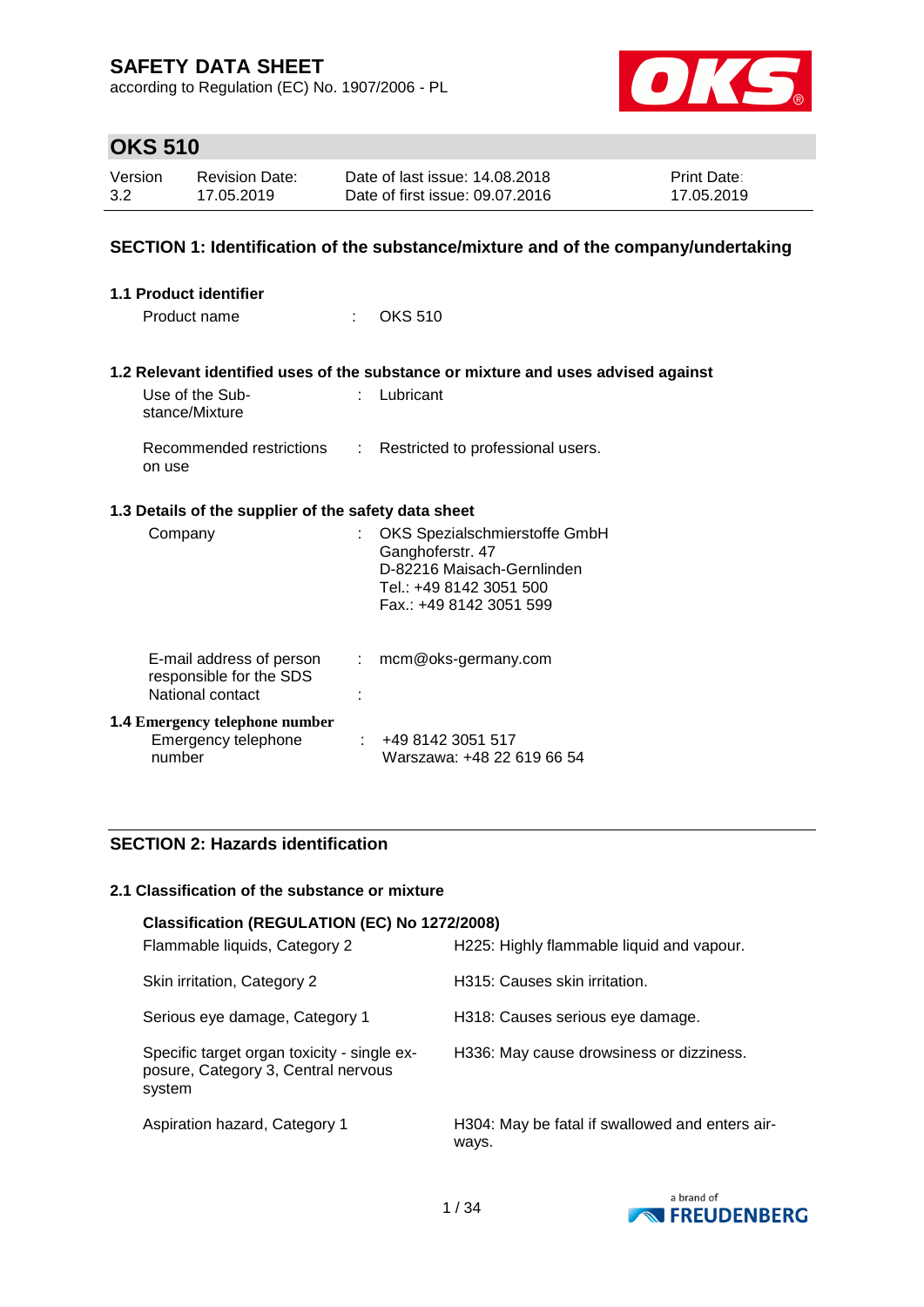according to Regulation (EC) No. 1907/2006 - PL



# **OKS 510**

| Version | <b>Revision Date:</b> | Date of last issue: 14.08.2018  | <b>Print Date:</b> |
|---------|-----------------------|---------------------------------|--------------------|
| 3.2     | 17.05.2019            | Date of first issue: 09.07.2016 | 17.05.2019         |

### **SECTION 1: Identification of the substance/mixture and of the company/undertaking**

| <b>1.1 Product identifier</b>                                           |                             |                                                                                                                                      |
|-------------------------------------------------------------------------|-----------------------------|--------------------------------------------------------------------------------------------------------------------------------------|
| Product name                                                            | ÷                           | OKS 510                                                                                                                              |
|                                                                         |                             | 1.2 Relevant identified uses of the substance or mixture and uses advised against                                                    |
| Use of the Sub-<br>stance/Mixture                                       | $\mathcal{F}_{\mathcal{A}}$ | Lubricant                                                                                                                            |
| Recommended restrictions<br>on use                                      | ÷.                          | Restricted to professional users.                                                                                                    |
| 1.3 Details of the supplier of the safety data sheet                    |                             |                                                                                                                                      |
| Company                                                                 |                             | OKS Spezialschmierstoffe GmbH<br>Ganghoferstr. 47<br>D-82216 Maisach-Gernlinden<br>Tel.: +49 8142 3051 500<br>Fax: +49 8142 3051 599 |
| E-mail address of person<br>responsible for the SDS<br>National contact | ÷                           | mcm@oks-germany.com                                                                                                                  |
| <b>1.4 Emergency telephone number</b><br>Emergency telephone<br>number  |                             | : 4981423051517<br>Warszawa: +48 22 619 66 54                                                                                        |

### **SECTION 2: Hazards identification**

#### **2.1 Classification of the substance or mixture**

| Classification (REGULATION (EC) No 1272/2008)                                                |                                                          |
|----------------------------------------------------------------------------------------------|----------------------------------------------------------|
| Flammable liquids, Category 2                                                                | H225: Highly flammable liquid and vapour.                |
| Skin irritation, Category 2                                                                  | H315: Causes skin irritation.                            |
| Serious eye damage, Category 1                                                               | H318: Causes serious eye damage.                         |
| Specific target organ toxicity - single ex-<br>posure, Category 3, Central nervous<br>system | H336: May cause drowsiness or dizziness.                 |
| Aspiration hazard, Category 1                                                                | H304: May be fatal if swallowed and enters air-<br>ways. |

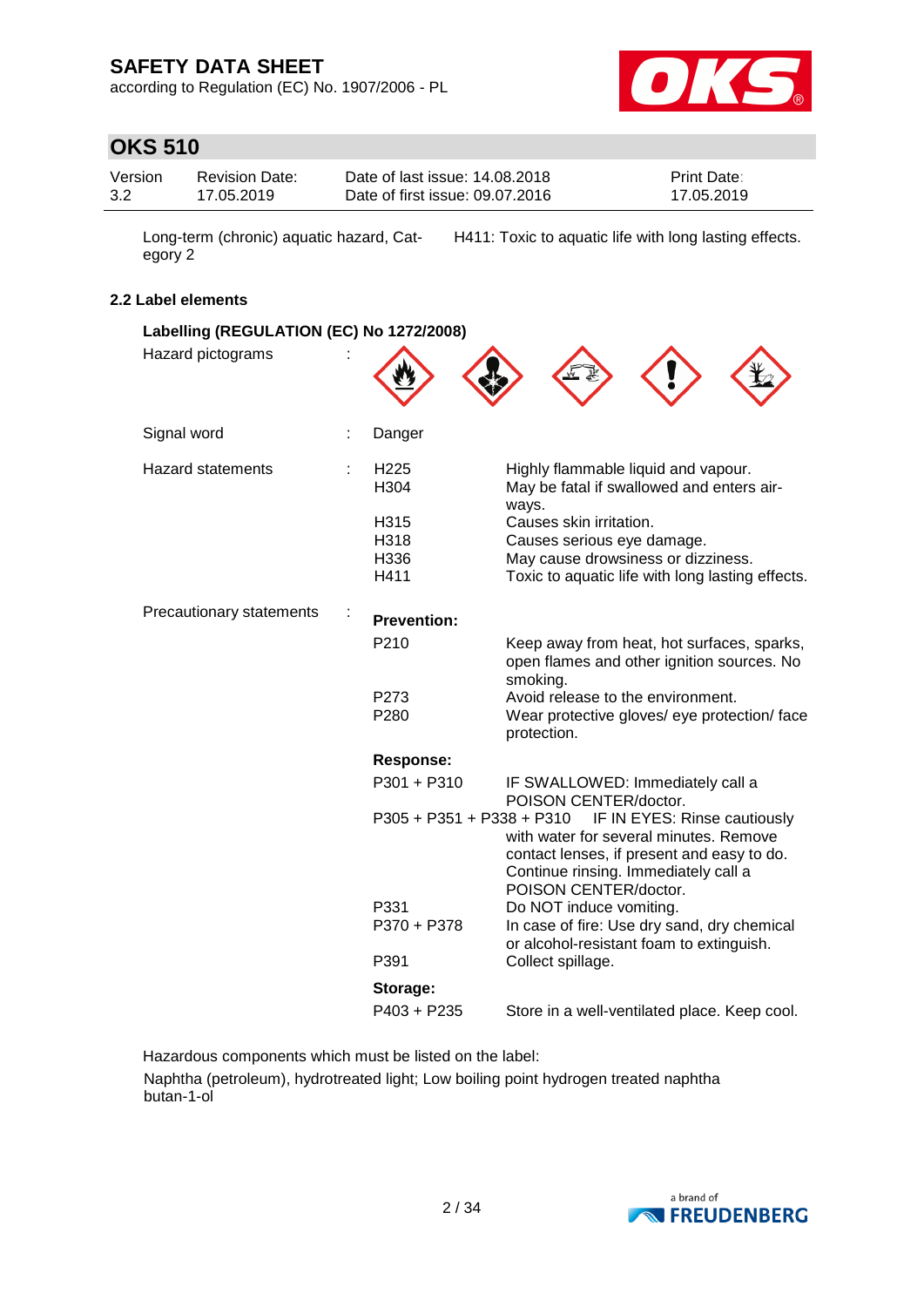according to Regulation (EC) No. 1907/2006 - PL



# **OKS 510**

| Version | <b>Revision Date:</b> | Date of last issue: 14.08.2018  | <b>Print Date:</b> |
|---------|-----------------------|---------------------------------|--------------------|
| 3.2     | 17.05.2019            | Date of first issue: 09.07.2016 | 17.05.2019         |

Long-term (chronic) aquatic hazard, Category 2 H411: Toxic to aquatic life with long lasting effects.

### **2.2 Label elements**

| Labelling (REGULATION (EC) No 1272/2008) |  |                           |                                                                                                                                                                                       |  |  |
|------------------------------------------|--|---------------------------|---------------------------------------------------------------------------------------------------------------------------------------------------------------------------------------|--|--|
| Hazard pictograms                        |  |                           |                                                                                                                                                                                       |  |  |
| Signal word                              |  | Danger                    |                                                                                                                                                                                       |  |  |
| <b>Hazard statements</b>                 |  | H <sub>225</sub><br>H304  | Highly flammable liquid and vapour.<br>May be fatal if swallowed and enters air-<br>ways.                                                                                             |  |  |
|                                          |  | H315                      | Causes skin irritation.                                                                                                                                                               |  |  |
|                                          |  | H318                      | Causes serious eye damage.                                                                                                                                                            |  |  |
|                                          |  | H336                      | May cause drowsiness or dizziness.                                                                                                                                                    |  |  |
|                                          |  | H411                      | Toxic to aquatic life with long lasting effects.                                                                                                                                      |  |  |
| Precautionary statements                 |  | <b>Prevention:</b>        |                                                                                                                                                                                       |  |  |
|                                          |  | P210                      | Keep away from heat, hot surfaces, sparks,<br>open flames and other ignition sources. No<br>smoking.                                                                                  |  |  |
|                                          |  | P <sub>273</sub><br>P280  | Avoid release to the environment.<br>Wear protective gloves/ eye protection/ face<br>protection.                                                                                      |  |  |
|                                          |  | <b>Response:</b>          |                                                                                                                                                                                       |  |  |
|                                          |  | $P301 + P310$             | IF SWALLOWED: Immediately call a<br>POISON CENTER/doctor.                                                                                                                             |  |  |
|                                          |  | P305 + P351 + P338 + P310 | IF IN EYES: Rinse cautiously<br>with water for several minutes. Remove<br>contact lenses, if present and easy to do.<br>Continue rinsing. Immediately call a<br>POISON CENTER/doctor. |  |  |
|                                          |  | P331<br>P370 + P378       | Do NOT induce vomiting.<br>In case of fire: Use dry sand, dry chemical                                                                                                                |  |  |
|                                          |  | P391                      | or alcohol-resistant foam to extinguish.<br>Collect spillage.                                                                                                                         |  |  |
|                                          |  | Storage:                  |                                                                                                                                                                                       |  |  |
|                                          |  | $P403 + P235$             | Store in a well-ventilated place. Keep cool.                                                                                                                                          |  |  |
|                                          |  |                           |                                                                                                                                                                                       |  |  |

Hazardous components which must be listed on the label:

Naphtha (petroleum), hydrotreated light; Low boiling point hydrogen treated naphtha butan-1-ol

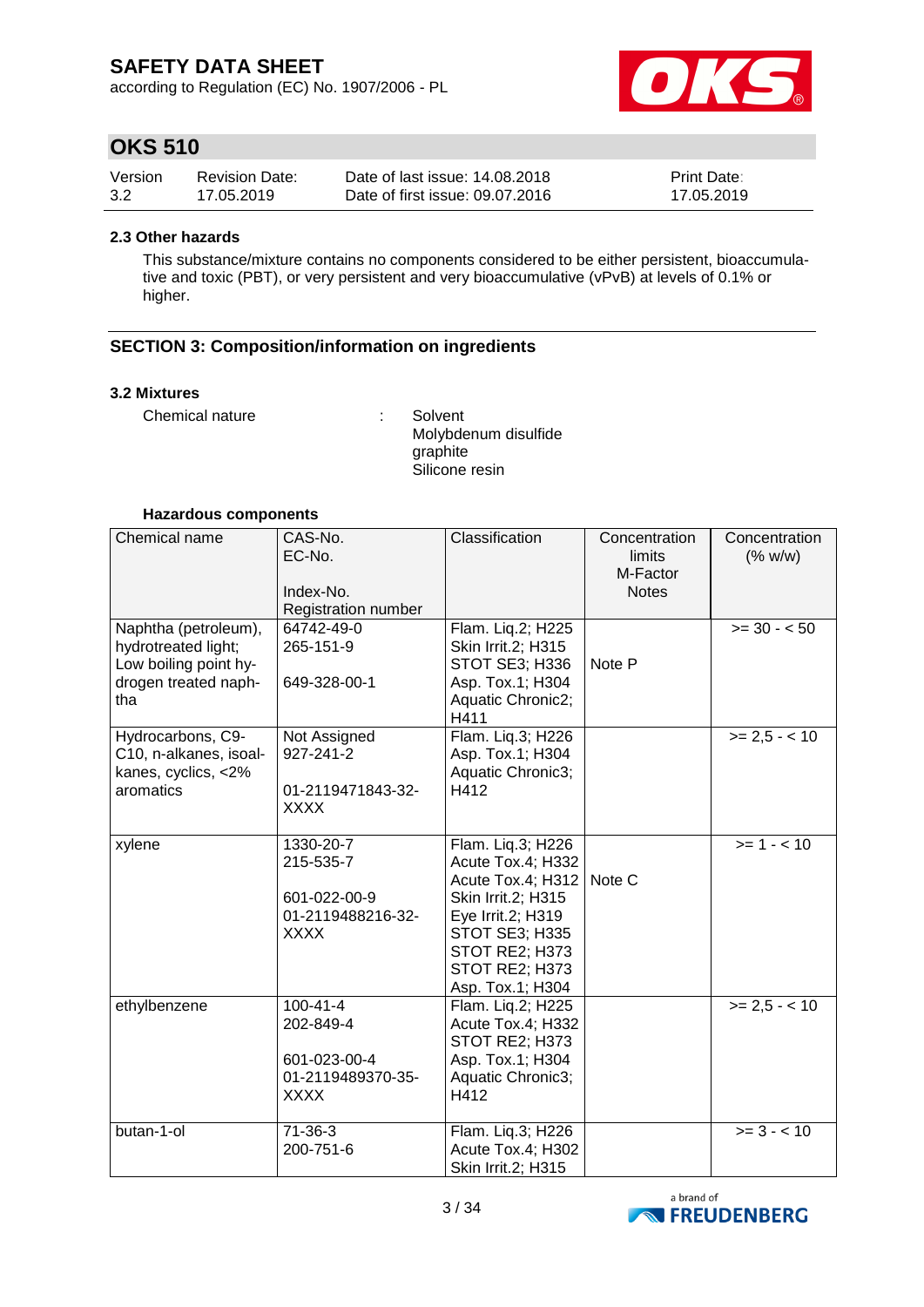according to Regulation (EC) No. 1907/2006 - PL



### **OKS 510**

| Version | <b>Revision Date:</b> | Date of last issue: 14.08.2018  | <b>Print Date:</b> |
|---------|-----------------------|---------------------------------|--------------------|
| 3.2     | 17.05.2019            | Date of first issue: 09.07.2016 | 17.05.2019         |

#### **2.3 Other hazards**

This substance/mixture contains no components considered to be either persistent, bioaccumulative and toxic (PBT), or very persistent and very bioaccumulative (vPvB) at levels of 0.1% or higher.

### **SECTION 3: Composition/information on ingredients**

#### **3.2 Mixtures**

Chemical nature : Solvent

Molybdenum disulfide graphite Silicone resin

#### **Hazardous components**

| Chemical name                                                                                       | CAS-No.<br>EC-No.<br>Index-No.                                                  | Classification                                                                                                                                                                          | Concentration<br>limits<br>M-Factor<br><b>Notes</b> | Concentration<br>(% w/w) |
|-----------------------------------------------------------------------------------------------------|---------------------------------------------------------------------------------|-----------------------------------------------------------------------------------------------------------------------------------------------------------------------------------------|-----------------------------------------------------|--------------------------|
|                                                                                                     | Registration number                                                             |                                                                                                                                                                                         |                                                     |                          |
| Naphtha (petroleum),<br>hydrotreated light;<br>Low boiling point hy-<br>drogen treated naph-<br>tha | 64742-49-0<br>265-151-9<br>649-328-00-1                                         | Flam. Liq.2; H225<br>Skin Irrit.2; H315<br>STOT SE3; H336<br>Asp. Tox.1; H304<br>Aquatic Chronic2;<br>H411                                                                              | Note P                                              | $>= 30 - 50$             |
| Hydrocarbons, C9-<br>C10, n-alkanes, isoal-<br>kanes, cyclics, <2%<br>aromatics                     | Not Assigned<br>927-241-2<br>01-2119471843-32-<br><b>XXXX</b>                   | Flam. Liq.3; H226<br>Asp. Tox.1; H304<br>Aquatic Chronic3;<br>H412                                                                                                                      |                                                     | $>= 2.5 - 10$            |
| xylene                                                                                              | 1330-20-7<br>215-535-7<br>601-022-00-9<br>01-2119488216-32-<br><b>XXXX</b>      | Flam. Liq.3; H226<br>Acute Tox.4; H332<br>Acute Tox.4; H312<br><b>Skin Irrit.2; H315</b><br>Eye Irrit.2; H319<br>STOT SE3; H335<br>STOT RE2; H373<br>STOT RE2; H373<br>Asp. Tox.1; H304 | Note C                                              | $>= 1 - 10$              |
| ethylbenzene                                                                                        | $100 - 41 - 4$<br>202-849-4<br>601-023-00-4<br>01-2119489370-35-<br><b>XXXX</b> | Flam. Liq.2; H225<br>Acute Tox.4; H332<br>STOT RE2; H373<br>Asp. Tox.1; H304<br>Aquatic Chronic3;<br>H412                                                                               |                                                     | $>= 2.5 - < 10$          |
| butan-1-ol                                                                                          | $71-36-3$<br>200-751-6                                                          | Flam. Liq.3; H226<br>Acute Tox.4; H302<br>Skin Irrit.2; H315                                                                                                                            |                                                     | $>= 3 - 10$              |

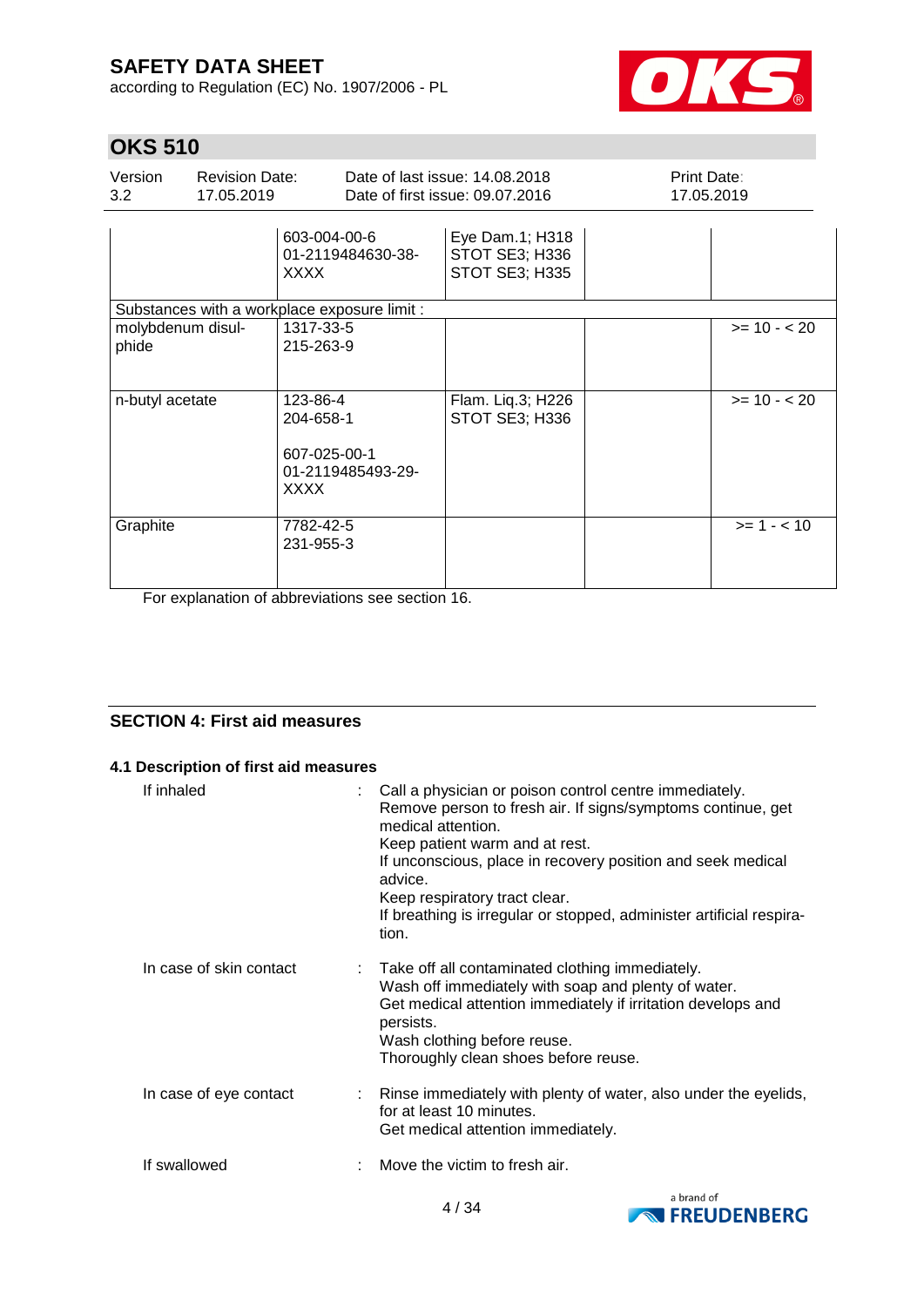according to Regulation (EC) No. 1907/2006 - PL



# **OKS 510**

| Version<br>3.2             | <b>Revision Date:</b><br>17.05.2019 |                                                                           | Date of last issue: 14.08.2018<br>Date of first issue: 09.07.2016 | Print Date:<br>17.05.2019 |               |
|----------------------------|-------------------------------------|---------------------------------------------------------------------------|-------------------------------------------------------------------|---------------------------|---------------|
|                            |                                     | 603-004-00-6<br>01-2119484630-38-<br><b>XXXX</b>                          | Eye Dam.1; H318<br>STOT SE3; H336<br><b>STOT SE3; H335</b>        |                           |               |
|                            |                                     | Substances with a workplace exposure limit :                              |                                                                   |                           |               |
| molybdenum disul-<br>phide |                                     | 1317-33-5<br>215-263-9                                                    |                                                                   |                           | $>= 10 - 20$  |
| n-butyl acetate            |                                     | 123-86-4<br>204-658-1<br>607-025-00-1<br>01-2119485493-29-<br><b>XXXX</b> | Flam. Liq.3; H226<br>STOT SE3; H336                               |                           | $>= 10 - 20$  |
| Graphite                   |                                     | 7782-42-5<br>231-955-3                                                    |                                                                   |                           | $>= 1 - < 10$ |

For explanation of abbreviations see section 16.

### **SECTION 4: First aid measures**

#### **4.1 Description of first aid measures**

| If inhaled              | Call a physician or poison control centre immediately.<br>Remove person to fresh air. If signs/symptoms continue, get<br>medical attention.<br>Keep patient warm and at rest.<br>If unconscious, place in recovery position and seek medical<br>advice.<br>Keep respiratory tract clear.<br>If breathing is irregular or stopped, administer artificial respira-<br>tion. |
|-------------------------|---------------------------------------------------------------------------------------------------------------------------------------------------------------------------------------------------------------------------------------------------------------------------------------------------------------------------------------------------------------------------|
| In case of skin contact | : Take off all contaminated clothing immediately.<br>Wash off immediately with soap and plenty of water.<br>Get medical attention immediately if irritation develops and<br>persists.<br>Wash clothing before reuse.<br>Thoroughly clean shoes before reuse.                                                                                                              |
| In case of eye contact  | : Rinse immediately with plenty of water, also under the eyelids,<br>for at least 10 minutes.<br>Get medical attention immediately.                                                                                                                                                                                                                                       |
| If swallowed            | Move the victim to fresh air.                                                                                                                                                                                                                                                                                                                                             |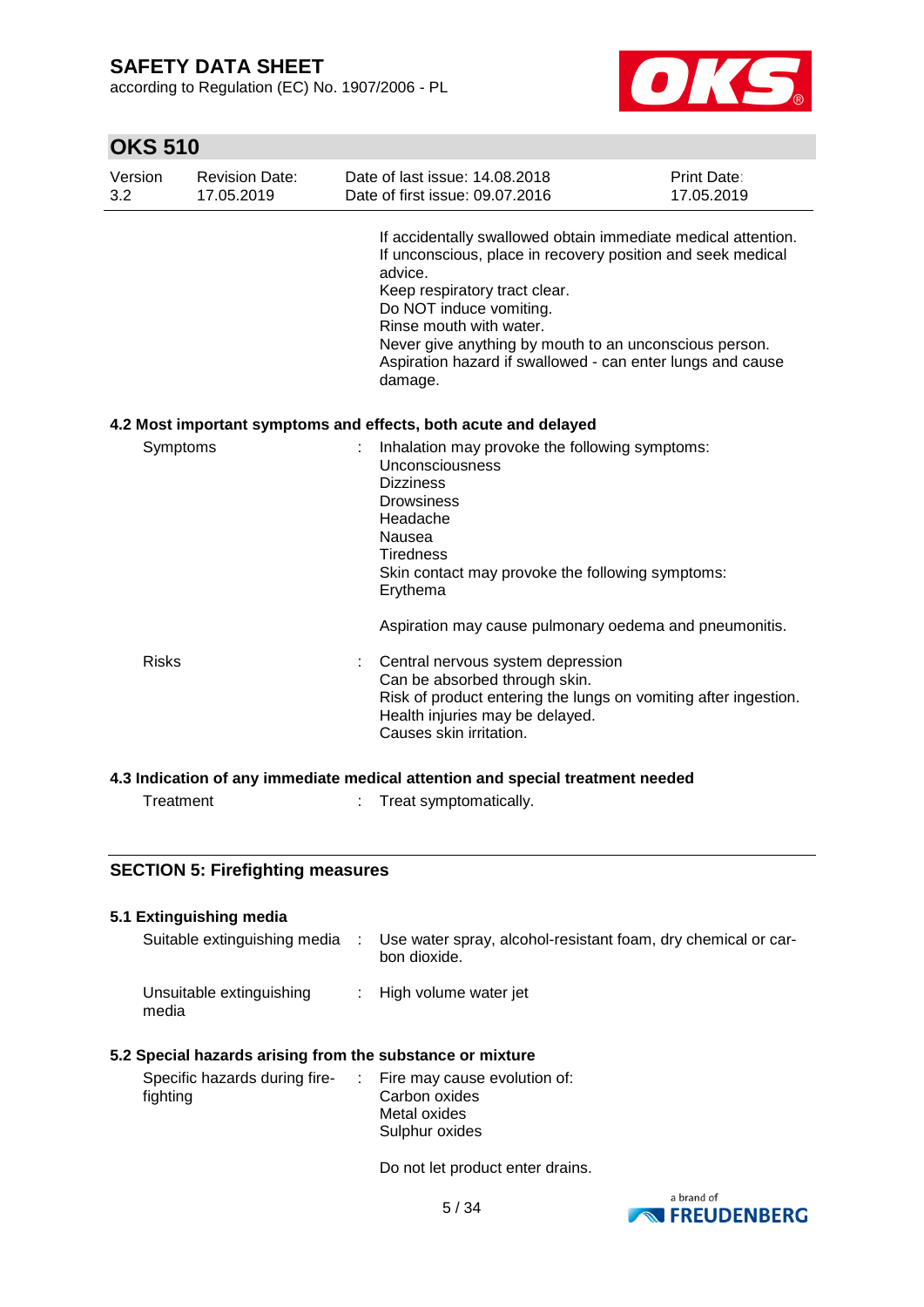according to Regulation (EC) No. 1907/2006 - PL



# **OKS 510**

| Version<br>3.2 | <b>Revision Date:</b><br>17.05.2019 |   | Date of last issue: 14.08.2018<br>Date of first issue: 09.07.2016                                                                                                                                                                                                                                                                                                 | Print Date:<br>17.05.2019 |
|----------------|-------------------------------------|---|-------------------------------------------------------------------------------------------------------------------------------------------------------------------------------------------------------------------------------------------------------------------------------------------------------------------------------------------------------------------|---------------------------|
|                |                                     |   | If accidentally swallowed obtain immediate medical attention.<br>If unconscious, place in recovery position and seek medical<br>advice.<br>Keep respiratory tract clear.<br>Do NOT induce vomiting.<br>Rinse mouth with water.<br>Never give anything by mouth to an unconscious person.<br>Aspiration hazard if swallowed - can enter lungs and cause<br>damage. |                           |
|                |                                     |   | 4.2 Most important symptoms and effects, both acute and delayed                                                                                                                                                                                                                                                                                                   |                           |
| Symptoms       |                                     |   | Inhalation may provoke the following symptoms:<br>Unconsciousness<br><b>Dizziness</b><br><b>Drowsiness</b><br>Headache<br>Nausea<br><b>Tiredness</b><br>Skin contact may provoke the following symptoms:<br>Erythema                                                                                                                                              |                           |
|                |                                     |   | Aspiration may cause pulmonary oedema and pneumonitis.                                                                                                                                                                                                                                                                                                            |                           |
| <b>Risks</b>   |                                     |   | Central nervous system depression<br>Can be absorbed through skin.<br>Risk of product entering the lungs on vomiting after ingestion.<br>Health injuries may be delayed.<br>Causes skin irritation.                                                                                                                                                               |                           |
|                |                                     |   | 4.3 Indication of any immediate medical attention and special treatment needed                                                                                                                                                                                                                                                                                    |                           |
| Treatment      |                                     | ÷ | Treat symptomatically.                                                                                                                                                                                                                                                                                                                                            |                           |
|                |                                     |   |                                                                                                                                                                                                                                                                                                                                                                   |                           |

### **SECTION 5: Firefighting measures**

| 5.1 Extinguishing media           |                                                                               |
|-----------------------------------|-------------------------------------------------------------------------------|
| Suitable extinguishing media      | Use water spray, alcohol-resistant foam, dry chemical or car-<br>bon dioxide. |
| Unsuitable extinguishing<br>media | : High volume water jet                                                       |

### **5.2 Special hazards arising from the substance or mixture**

| Specific hazards during fire- | : Fire may cause evolution of: |
|-------------------------------|--------------------------------|
| fighting                      | Carbon oxides                  |
|                               | Metal oxides                   |
|                               | Sulphur oxides                 |

Do not let product enter drains.

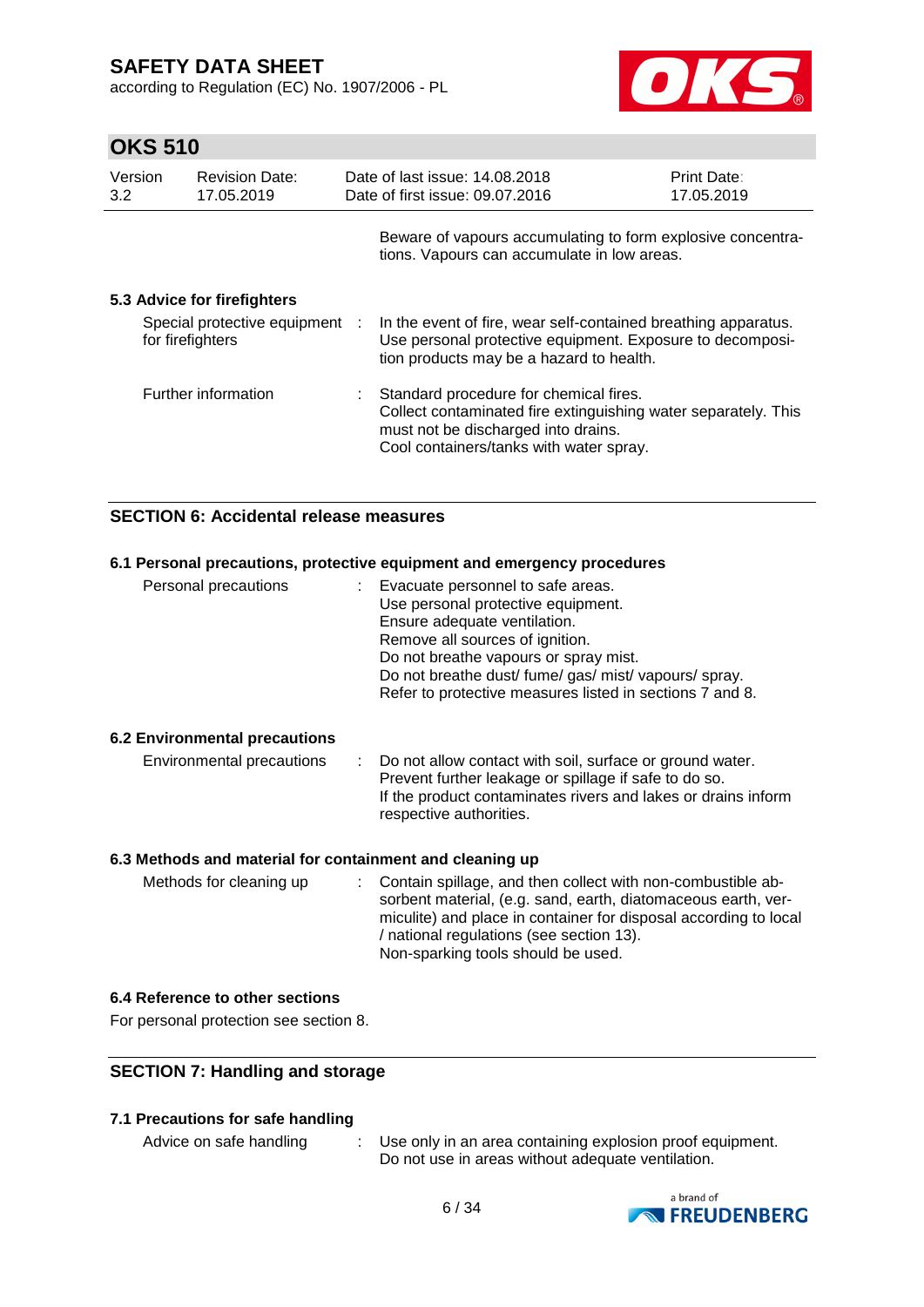according to Regulation (EC) No. 1907/2006 - PL



### **OKS 510**

| Version<br>3.2 |                  | <b>Revision Date:</b><br>17.05.2019 | Date of last issue: 14,08,2018<br>Date of first issue: 09.07.2016                                                                                                                          | Print Date:<br>17.05.2019 |
|----------------|------------------|-------------------------------------|--------------------------------------------------------------------------------------------------------------------------------------------------------------------------------------------|---------------------------|
|                |                  |                                     | Beware of vapours accumulating to form explosive concentra-<br>tions. Vapours can accumulate in low areas.                                                                                 |                           |
|                |                  | 5.3 Advice for firefighters         |                                                                                                                                                                                            |                           |
|                | for firefighters | Special protective equipment :      | In the event of fire, wear self-contained breathing apparatus.<br>Use personal protective equipment. Exposure to decomposi-<br>tion products may be a hazard to health.                    |                           |
|                |                  | Further information                 | Standard procedure for chemical fires.<br>Collect contaminated fire extinguishing water separately. This<br>must not be discharged into drains.<br>Cool containers/tanks with water spray. |                           |

### **SECTION 6: Accidental release measures**

### **6.1 Personal precautions, protective equipment and emergency procedures** Personal precautions : Evacuate personnel to safe areas. Use personal protective equipment. Ensure adequate ventilation. Remove all sources of ignition. Do not breathe vapours or spray mist. Do not breathe dust/ fume/ gas/ mist/ vapours/ spray. Refer to protective measures listed in sections 7 and 8. **6.2 Environmental precautions** Environmental precautions : Do not allow contact with soil, surface or ground water. Prevent further leakage or spillage if safe to do so. If the product contaminates rivers and lakes or drains inform respective authorities. **6.3 Methods and material for containment and cleaning up** Methods for cleaning up : Contain spillage, and then collect with non-combustible absorbent material, (e.g. sand, earth, diatomaceous earth, ver-

#### / national regulations (see section 13). Non-sparking tools should be used.

#### **6.4 Reference to other sections**

For personal protection see section 8.

### **SECTION 7: Handling and storage**

#### **7.1 Precautions for safe handling**

Advice on safe handling : Use only in an area containing explosion proof equipment. Do not use in areas without adequate ventilation.

miculite) and place in container for disposal according to local

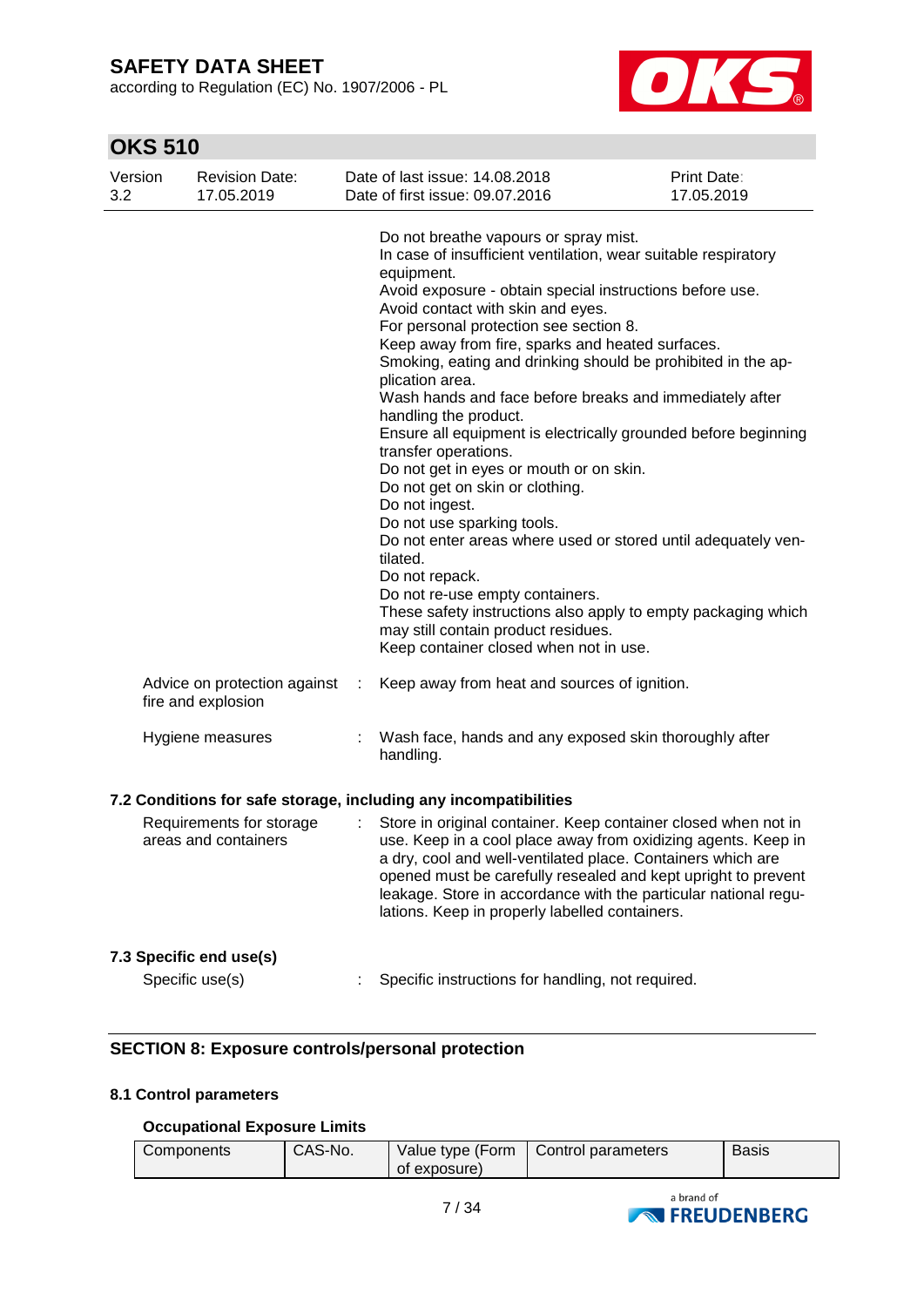according to Regulation (EC) No. 1907/2006 - PL



# **OKS 510**

| Version<br>3.2 | <b>Revision Date:</b><br>17.05.2019                |   | Date of last issue: 14.08.2018<br>Date of first issue: 09.07.2016                                                                                                                                                                                                                                                                                                                                                                                                                                                                                                                                                                                                                                                                                                                                                                                                                                                                                                                                       | <b>Print Date:</b><br>17.05.2019 |
|----------------|----------------------------------------------------|---|---------------------------------------------------------------------------------------------------------------------------------------------------------------------------------------------------------------------------------------------------------------------------------------------------------------------------------------------------------------------------------------------------------------------------------------------------------------------------------------------------------------------------------------------------------------------------------------------------------------------------------------------------------------------------------------------------------------------------------------------------------------------------------------------------------------------------------------------------------------------------------------------------------------------------------------------------------------------------------------------------------|----------------------------------|
|                |                                                    |   | Do not breathe vapours or spray mist.<br>In case of insufficient ventilation, wear suitable respiratory<br>equipment.<br>Avoid exposure - obtain special instructions before use.<br>Avoid contact with skin and eyes.<br>For personal protection see section 8.<br>Keep away from fire, sparks and heated surfaces.<br>Smoking, eating and drinking should be prohibited in the ap-<br>plication area.<br>Wash hands and face before breaks and immediately after<br>handling the product.<br>Ensure all equipment is electrically grounded before beginning<br>transfer operations.<br>Do not get in eyes or mouth or on skin.<br>Do not get on skin or clothing.<br>Do not ingest.<br>Do not use sparking tools.<br>Do not enter areas where used or stored until adequately ven-<br>tilated.<br>Do not repack.<br>Do not re-use empty containers.<br>These safety instructions also apply to empty packaging which<br>may still contain product residues.<br>Keep container closed when not in use. |                                  |
|                | Advice on protection against<br>fire and explosion | ÷ | Keep away from heat and sources of ignition.                                                                                                                                                                                                                                                                                                                                                                                                                                                                                                                                                                                                                                                                                                                                                                                                                                                                                                                                                            |                                  |
|                | Hygiene measures                                   |   | Wash face, hands and any exposed skin thoroughly after<br>handling.                                                                                                                                                                                                                                                                                                                                                                                                                                                                                                                                                                                                                                                                                                                                                                                                                                                                                                                                     |                                  |
|                |                                                    |   | 7.2 Conditions for safe storage, including any incompatibilities                                                                                                                                                                                                                                                                                                                                                                                                                                                                                                                                                                                                                                                                                                                                                                                                                                                                                                                                        |                                  |
|                | Requirements for storage<br>areas and containers   |   | Store in original container. Keep container closed when not in<br>use. Keep in a cool place away from oxidizing agents. Keep in<br>a dry, cool and well-ventilated place. Containers which are<br>opened must be carefully resealed and kept upright to prevent<br>leakage. Store in accordance with the particular national regu-<br>lations. Keep in properly labelled containers.                                                                                                                                                                                                                                                                                                                                                                                                                                                                                                                                                                                                                    |                                  |
|                | 7.3 Specific end use(s)                            |   |                                                                                                                                                                                                                                                                                                                                                                                                                                                                                                                                                                                                                                                                                                                                                                                                                                                                                                                                                                                                         |                                  |
|                | Specific use(s)                                    |   | Specific instructions for handling, not required.                                                                                                                                                                                                                                                                                                                                                                                                                                                                                                                                                                                                                                                                                                                                                                                                                                                                                                                                                       |                                  |

### **SECTION 8: Exposure controls/personal protection**

### **8.1 Control parameters**

### **Occupational Exposure Limits**

| Components | CAS-No. | of exposure) | Value type (Form   Control parameters | <b>Basis</b> |
|------------|---------|--------------|---------------------------------------|--------------|
|            |         |              |                                       |              |

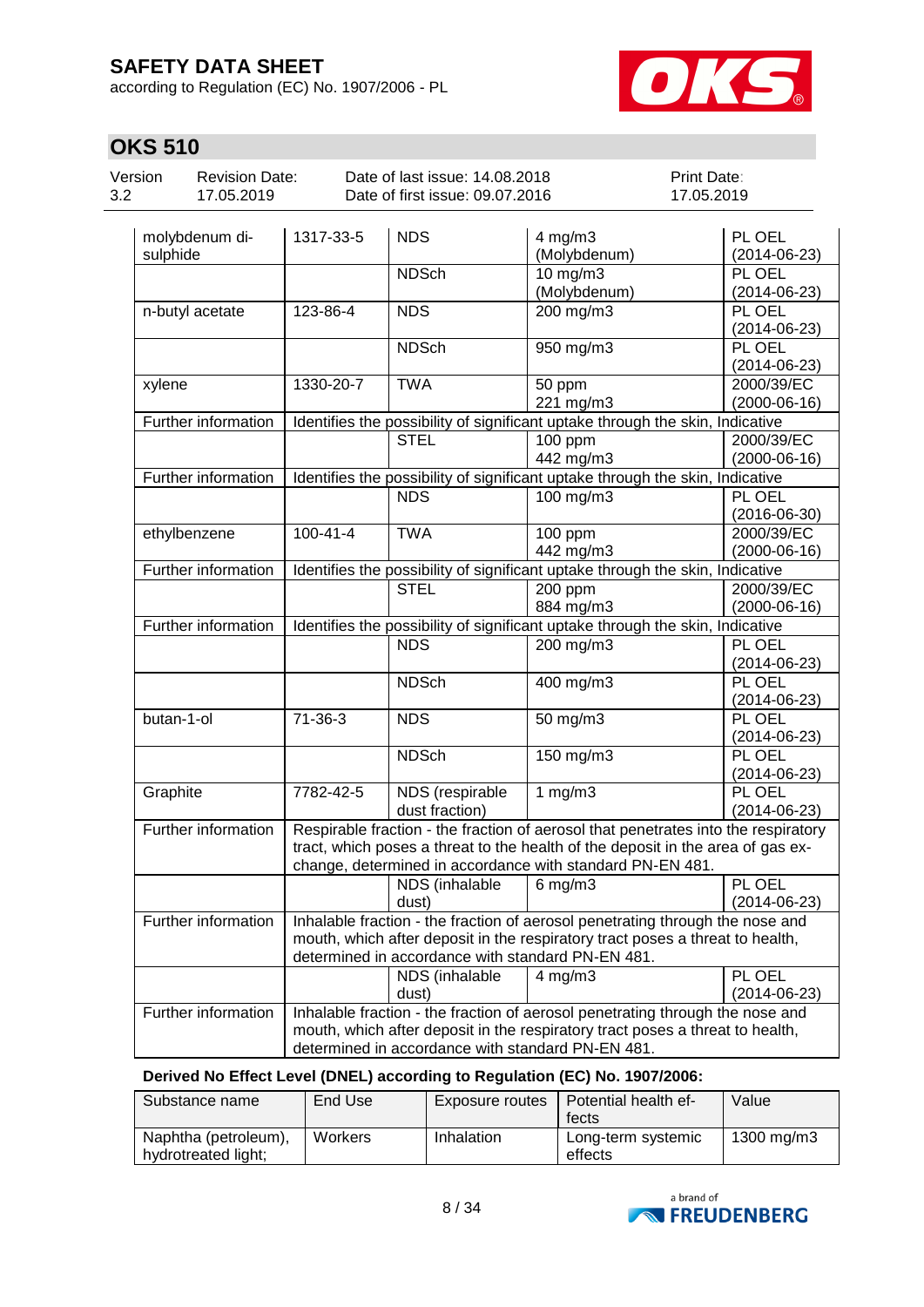according to Regulation (EC) No. 1907/2006 - PL



# **OKS 510**

| Version | <b>Revision Date:</b> | Date of last issue: 14.08.2018  | <b>Print Date:</b> |
|---------|-----------------------|---------------------------------|--------------------|
| 3.2     | 17.05.2019            | Date of first issue: 09.07.2016 | 17.05.2019         |

| molybdenum di-             | 1317-33-5      | <b>NDS</b>                                        | $4$ mg/m $3$                                                                                                                                                   | PL OEL             |
|----------------------------|----------------|---------------------------------------------------|----------------------------------------------------------------------------------------------------------------------------------------------------------------|--------------------|
| sulphide                   |                |                                                   | (Molybdenum)                                                                                                                                                   | $(2014 - 06 - 23)$ |
|                            |                | <b>NDSch</b>                                      | $10$ mg/m $3$                                                                                                                                                  | PL OEL             |
|                            |                |                                                   | (Molybdenum)                                                                                                                                                   | $(2014 - 06 - 23)$ |
| n-butyl acetate            | 123-86-4       | <b>NDS</b>                                        | $200$ mg/m3                                                                                                                                                    | PL OEL             |
|                            |                |                                                   |                                                                                                                                                                | $(2014 - 06 - 23)$ |
|                            |                | <b>NDSch</b>                                      | 950 mg/m3                                                                                                                                                      | PL OEL             |
|                            |                |                                                   |                                                                                                                                                                | $(2014 - 06 - 23)$ |
| xylene                     | 1330-20-7      | <b>TWA</b>                                        | 50 ppm                                                                                                                                                         | 2000/39/EC         |
|                            |                |                                                   | 221 mg/m3                                                                                                                                                      | $(2000-06-16)$     |
| Further information        |                |                                                   | Identifies the possibility of significant uptake through the skin, Indicative                                                                                  |                    |
|                            |                | <b>STEL</b>                                       | 100 ppm                                                                                                                                                        | 2000/39/EC         |
|                            |                |                                                   | 442 mg/m3                                                                                                                                                      | $(2000-06-16)$     |
| Further information        |                |                                                   | Identifies the possibility of significant uptake through the skin, Indicative                                                                                  |                    |
|                            |                | <b>NDS</b>                                        | 100 mg/m3                                                                                                                                                      | PL OEL             |
|                            |                |                                                   |                                                                                                                                                                | $(2016-06-30)$     |
| ethylbenzene               | $100 - 41 - 4$ | <b>TWA</b>                                        | 100 ppm                                                                                                                                                        | 2000/39/EC         |
|                            |                |                                                   | 442 mg/m3                                                                                                                                                      | $(2000-06-16)$     |
| Further information        |                |                                                   | Identifies the possibility of significant uptake through the skin, Indicative                                                                                  |                    |
|                            |                | <b>STEL</b>                                       | 200 ppm                                                                                                                                                        | 2000/39/EC         |
|                            |                |                                                   | 884 mg/m3                                                                                                                                                      | $(2000-06-16)$     |
| Further information        |                |                                                   | Identifies the possibility of significant uptake through the skin, Indicative                                                                                  |                    |
|                            |                | <b>NDS</b>                                        | 200 mg/m3                                                                                                                                                      | PL OEL             |
|                            |                |                                                   |                                                                                                                                                                | $(2014 - 06 - 23)$ |
|                            |                | <b>NDSch</b>                                      | 400 mg/m3                                                                                                                                                      | PL OEL             |
|                            |                |                                                   |                                                                                                                                                                | $(2014 - 06 - 23)$ |
| butan-1-ol                 | $71 - 36 - 3$  | <b>NDS</b>                                        | 50 mg/m3                                                                                                                                                       | PL OEL             |
|                            |                |                                                   |                                                                                                                                                                | $(2014 - 06 - 23)$ |
|                            |                | <b>NDSch</b>                                      | 150 mg/m3                                                                                                                                                      | PL OEL             |
|                            |                |                                                   |                                                                                                                                                                | $(2014 - 06 - 23)$ |
| Graphite                   | 7782-42-5      | NDS (respirable                                   | 1 $mg/m3$                                                                                                                                                      | PL OEL             |
|                            |                | dust fraction)                                    |                                                                                                                                                                | $(2014 - 06 - 23)$ |
| <b>Further information</b> |                |                                                   | Respirable fraction - the fraction of aerosol that penetrates into the respiratory                                                                             |                    |
|                            |                |                                                   | tract, which poses a threat to the health of the deposit in the area of gas ex-                                                                                |                    |
|                            |                |                                                   | change, determined in accordance with standard PN-EN 481.                                                                                                      |                    |
|                            |                | NDS (inhalable                                    | $6$ mg/m $3$                                                                                                                                                   | PL OEL             |
|                            |                | dust)                                             |                                                                                                                                                                | $(2014 - 06 - 23)$ |
| Further information        |                |                                                   | Inhalable fraction - the fraction of aerosol penetrating through the nose and                                                                                  |                    |
|                            |                |                                                   | mouth, which after deposit in the respiratory tract poses a threat to health,                                                                                  |                    |
|                            |                | determined in accordance with standard PN-EN 481. |                                                                                                                                                                |                    |
|                            |                | NDS (inhalable                                    | $4 \text{ mg/m}$ 3                                                                                                                                             | PL OEL             |
|                            |                | dust)                                             |                                                                                                                                                                | $(2014 - 06 - 23)$ |
| Further information        |                |                                                   | Inhalable fraction - the fraction of aerosol penetrating through the nose and<br>mouth, which after deposit in the respiratory tract poses a threat to health, |                    |
|                            |                | determined in accordance with standard PN-EN 481. |                                                                                                                                                                |                    |
|                            |                |                                                   |                                                                                                                                                                |                    |

#### **Derived No Effect Level (DNEL) according to Regulation (EC) No. 1907/2006:**

| Substance name                              | End Use        | Exposure routes | Potential health ef-<br>fects | Value      |
|---------------------------------------------|----------------|-----------------|-------------------------------|------------|
| Naphtha (petroleum),<br>hydrotreated light; | <b>Workers</b> | Inhalation      | Long-term systemic<br>effects | 1300 mg/m3 |

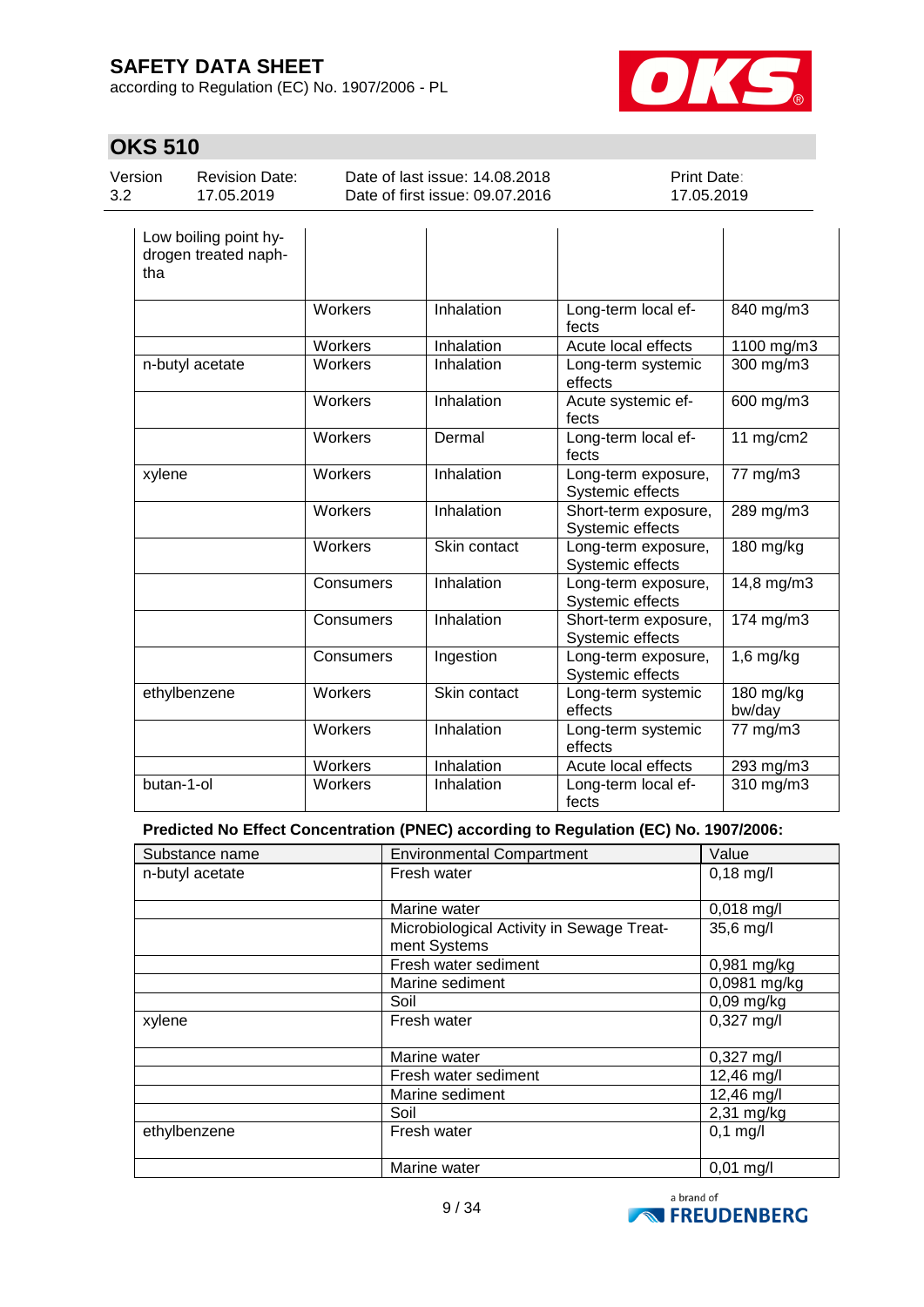according to Regulation (EC) No. 1907/2006 - PL



# **OKS 510**

| Version | <b>Revision Date:</b> |
|---------|-----------------------|
| 3.2     | 17.05.2019            |

Date of last issue: 14.08.2018 Date of first issue: 09.07.2016 Print Date: 17.05.2019

| Low boiling point hy-<br>drogen treated naph-<br>tha |                |              |                                          |                     |
|------------------------------------------------------|----------------|--------------|------------------------------------------|---------------------|
|                                                      | Workers        | Inhalation   | Long-term local ef-<br>fects             | 840 mg/m3           |
|                                                      | <b>Workers</b> | Inhalation   | Acute local effects                      | 1100 mg/m3          |
| n-butyl acetate                                      | Workers        | Inhalation   | Long-term systemic<br>effects            | 300 mg/m3           |
|                                                      | Workers        | Inhalation   | Acute systemic ef-<br>fects              | 600 mg/m3           |
|                                                      | Workers        | Dermal       | Long-term local ef-<br>fects             | 11 mg/cm2           |
| xylene                                               | Workers        | Inhalation   | Long-term exposure,<br>Systemic effects  | 77 mg/m3            |
|                                                      | <b>Workers</b> | Inhalation   | Short-term exposure,<br>Systemic effects | 289 mg/m3           |
|                                                      | Workers        | Skin contact | Long-term exposure,<br>Systemic effects  | 180 mg/kg           |
|                                                      | Consumers      | Inhalation   | Long-term exposure,<br>Systemic effects  | 14,8 mg/m3          |
|                                                      | Consumers      | Inhalation   | Short-term exposure,<br>Systemic effects | 174 mg/m3           |
|                                                      | Consumers      | Ingestion    | Long-term exposure,<br>Systemic effects  | $1,6$ mg/kg         |
| ethylbenzene                                         | Workers        | Skin contact | Long-term systemic<br>effects            | 180 mg/kg<br>bw/day |
|                                                      | Workers        | Inhalation   | Long-term systemic<br>effects            | 77 mg/m3            |
|                                                      | Workers        | Inhalation   | Acute local effects                      | 293 mg/m3           |
| butan-1-ol                                           | Workers        | Inhalation   | Long-term local ef-<br>fects             | 310 mg/m3           |

**Predicted No Effect Concentration (PNEC) according to Regulation (EC) No. 1907/2006:**

| Substance name  | <b>Environmental Compartment</b>          | Value               |
|-----------------|-------------------------------------------|---------------------|
| n-butyl acetate | Fresh water                               | $0,18$ mg/l         |
|                 |                                           |                     |
|                 | Marine water                              | $0,018$ mg/l        |
|                 | Microbiological Activity in Sewage Treat- | 35,6 mg/l           |
|                 | ment Systems                              |                     |
|                 | Fresh water sediment                      | 0,981 mg/kg         |
|                 | Marine sediment                           | 0,0981 mg/kg        |
|                 | Soil                                      | $0,09$ mg/kg        |
| xylene          | Fresh water                               | $0,327$ mg/l        |
|                 | Marine water                              | $0,327$ mg/l        |
|                 | Fresh water sediment                      | 12,46 mg/l          |
|                 | Marine sediment                           | 12,46 mg/l          |
|                 | Soil                                      | 2,31 mg/kg          |
| ethylbenzene    | Fresh water                               | $0,1$ mg/l          |
|                 | Marine water                              | $0,01 \text{ mg/l}$ |

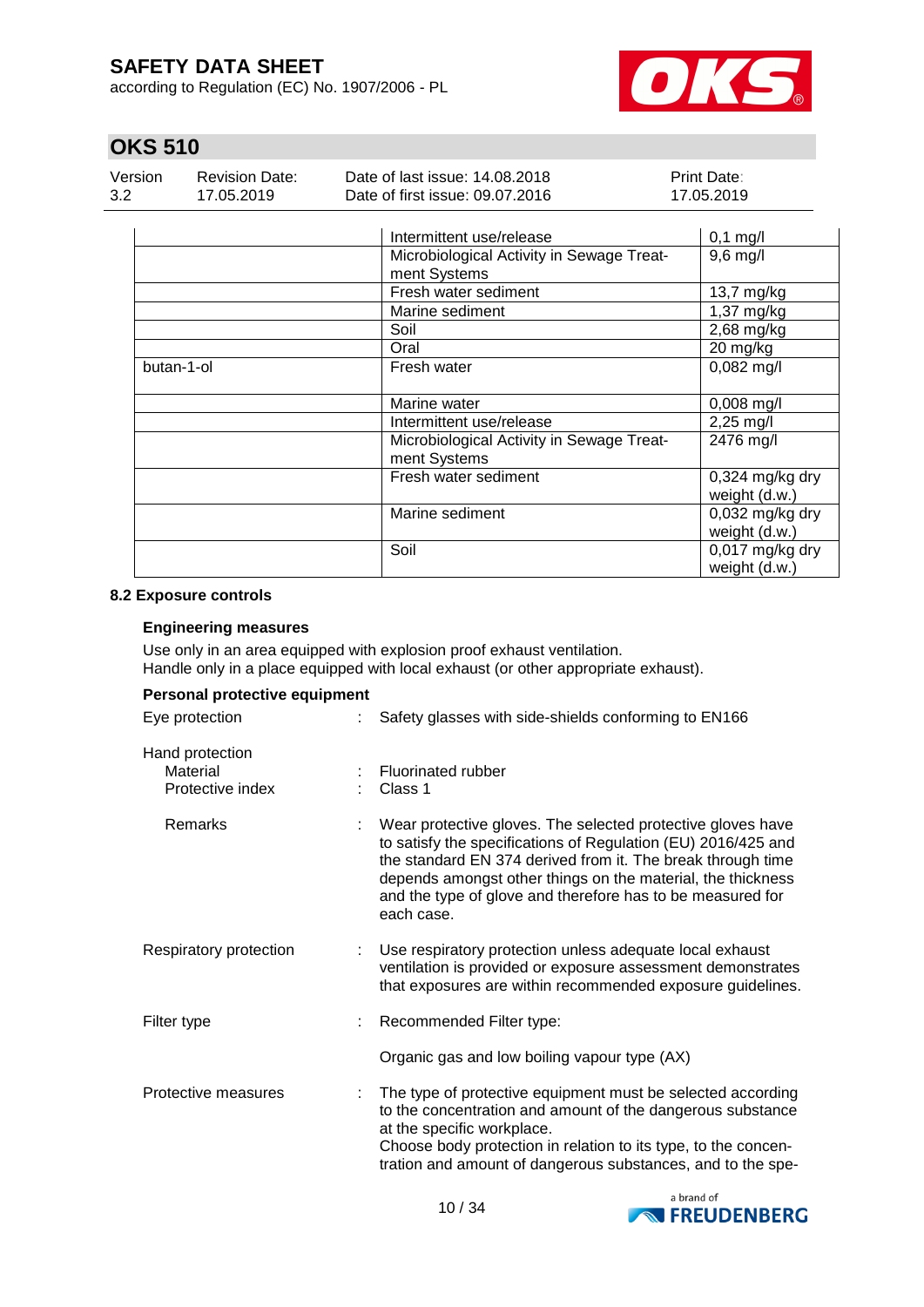according to Regulation (EC) No. 1907/2006 - PL



# **OKS 510**

| Version | <b>Revision Date:</b> | Date of last issue: 14.08.2018  | <b>Print Date:</b> |
|---------|-----------------------|---------------------------------|--------------------|
| 3.2     | 17.05.2019            | Date of first issue: 09.07.2016 | 17.05.2019         |

|            | Intermittent use/release                                  | $0,1$ mg/l                         |
|------------|-----------------------------------------------------------|------------------------------------|
|            | Microbiological Activity in Sewage Treat-<br>ment Systems | $9,6$ mg/l                         |
|            | Fresh water sediment                                      | $13,7$ mg/kg                       |
|            | Marine sediment                                           | $1,37$ mg/kg                       |
|            | Soil                                                      | 2,68 mg/kg                         |
|            | Oral                                                      | 20 mg/kg                           |
| butan-1-ol | Fresh water                                               | 0,082 mg/l                         |
|            | Marine water                                              | $0,008$ mg/l                       |
|            | Intermittent use/release                                  | $2,25$ mg/l                        |
|            | Microbiological Activity in Sewage Treat-<br>ment Systems | 2476 mg/l                          |
|            | Fresh water sediment                                      | $0,324$ mg/kg dry<br>weight (d.w.) |
|            | Marine sediment                                           | 0,032 mg/kg dry<br>weight (d.w.)   |
|            | Soil                                                      | 0,017 mg/kg dry<br>weight (d.w.)   |

### **8.2 Exposure controls**

#### **Engineering measures**

Use only in an area equipped with explosion proof exhaust ventilation. Handle only in a place equipped with local exhaust (or other appropriate exhaust).

| Personal protective equipment                   |  |                                                                                                                                                                                                                                                                                                                                        |  |  |  |
|-------------------------------------------------|--|----------------------------------------------------------------------------------------------------------------------------------------------------------------------------------------------------------------------------------------------------------------------------------------------------------------------------------------|--|--|--|
| Eye protection                                  |  | Safety glasses with side-shields conforming to EN166                                                                                                                                                                                                                                                                                   |  |  |  |
| Hand protection<br>Material<br>Protective index |  | Fluorinated rubber<br>Class 1                                                                                                                                                                                                                                                                                                          |  |  |  |
| Remarks                                         |  | Wear protective gloves. The selected protective gloves have<br>to satisfy the specifications of Regulation (EU) 2016/425 and<br>the standard EN 374 derived from it. The break through time<br>depends amongst other things on the material, the thickness<br>and the type of glove and therefore has to be measured for<br>each case. |  |  |  |
| Respiratory protection                          |  | Use respiratory protection unless adequate local exhaust<br>ventilation is provided or exposure assessment demonstrates<br>that exposures are within recommended exposure guidelines.                                                                                                                                                  |  |  |  |
| Filter type                                     |  | Recommended Filter type:                                                                                                                                                                                                                                                                                                               |  |  |  |
|                                                 |  | Organic gas and low boiling vapour type (AX)                                                                                                                                                                                                                                                                                           |  |  |  |
| Protective measures                             |  | The type of protective equipment must be selected according<br>to the concentration and amount of the dangerous substance<br>at the specific workplace.<br>Choose body protection in relation to its type, to the concen-<br>tration and amount of dangerous substances, and to the spe-                                               |  |  |  |

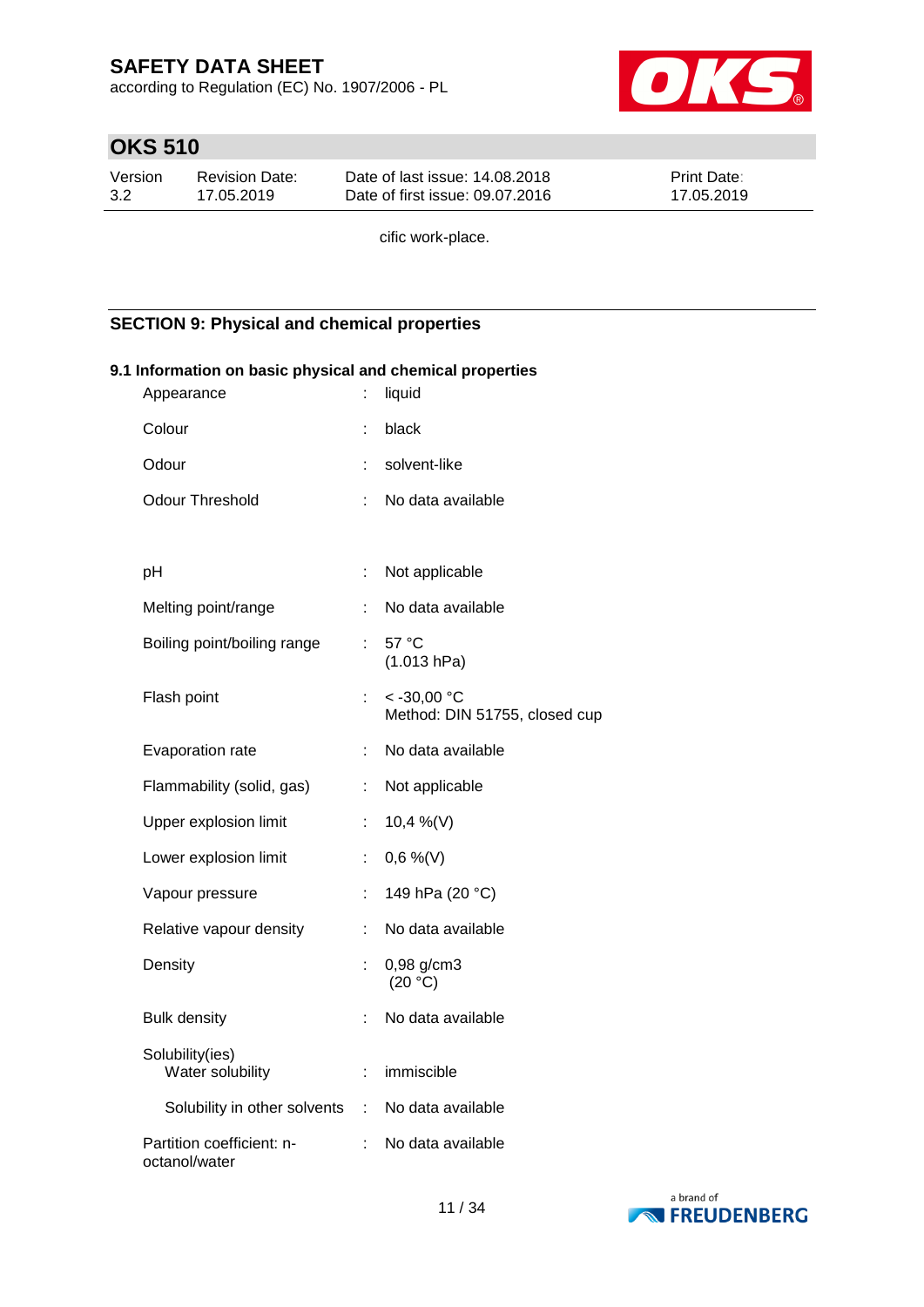according to Regulation (EC) No. 1907/2006 - PL



# **OKS 510**

| Version | Revision Date: | Date of last issue: 14,08,2018  | <b>Print Date:</b> |
|---------|----------------|---------------------------------|--------------------|
| - 3.2   | 17.05.2019     | Date of first issue: 09.07.2016 | 17.05.2019         |
|         |                |                                 |                    |

cific work-place.

### **SECTION 9: Physical and chemical properties**

| 9.1 Information on basic physical and chemical properties<br>Appearance | ÷  | liquid                                         |
|-------------------------------------------------------------------------|----|------------------------------------------------|
| Colour                                                                  |    | black                                          |
| Odour                                                                   |    | solvent-like                                   |
| <b>Odour Threshold</b>                                                  | ÷  | No data available                              |
|                                                                         |    |                                                |
| pH                                                                      | ÷  | Not applicable                                 |
| Melting point/range                                                     | ÷  | No data available                              |
| Boiling point/boiling range                                             | ÷. | 57 °C<br>(1.013 hPa)                           |
| Flash point                                                             | ÷. | $< -30,00$ °C<br>Method: DIN 51755, closed cup |
| Evaporation rate                                                        | ÷. | No data available                              |
| Flammability (solid, gas)                                               | ÷. | Not applicable                                 |
| Upper explosion limit                                                   | t. | 10,4 %(V)                                      |
| Lower explosion limit                                                   | t. | $0,6\%$ (V)                                    |
| Vapour pressure                                                         | t. | 149 hPa (20 °C)                                |
| Relative vapour density                                                 | ÷. | No data available                              |
| Density                                                                 | ÷  | 0,98 g/cm3<br>(20 °C)                          |
| <b>Bulk density</b>                                                     |    | No data available                              |
| Solubility(ies)<br>Water solubility                                     |    | immiscible                                     |
| Solubility in other solvents                                            | ÷  | No data available                              |
| Partition coefficient: n-<br>octanol/water                              |    | No data available                              |

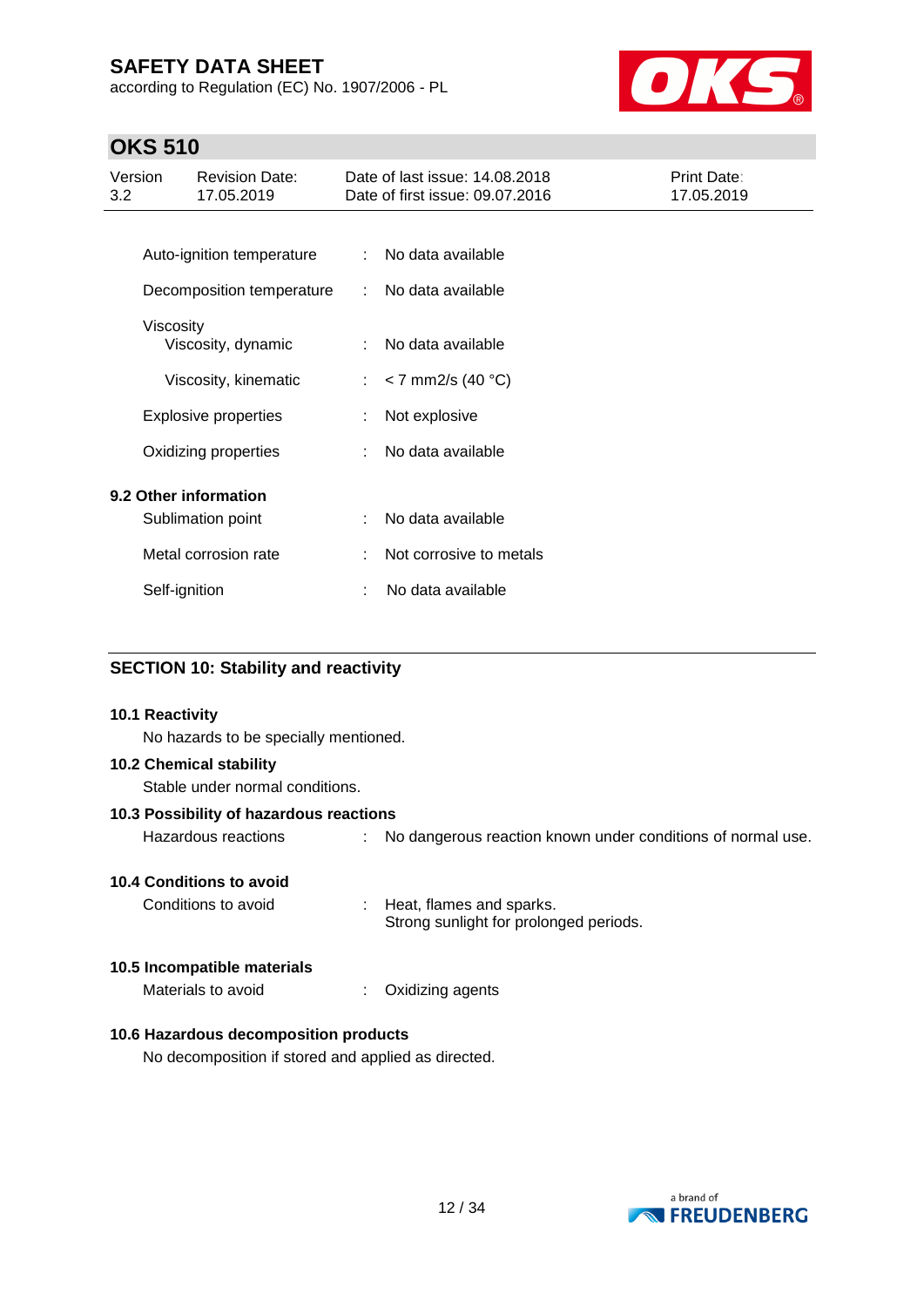according to Regulation (EC) No. 1907/2006 - PL



### **OKS 510**

| Version<br>3.2 |               | <b>Revision Date:</b><br>17.05.2019 |                           | Date of last issue: 14,08,2018<br>Date of first issue: 09.07.2016 | Print Date:<br>17.05.2019 |
|----------------|---------------|-------------------------------------|---------------------------|-------------------------------------------------------------------|---------------------------|
|                |               |                                     |                           |                                                                   |                           |
|                |               | Auto-ignition temperature           |                           | No data available                                                 |                           |
|                |               | Decomposition temperature           |                           | No data available                                                 |                           |
|                | Viscosity     |                                     |                           |                                                                   |                           |
|                |               | Viscosity, dynamic                  |                           | No data available                                                 |                           |
|                |               | Viscosity, kinematic                | $\mathbb{Z}^{\mathbb{Z}}$ | $<$ 7 mm2/s (40 °C)                                               |                           |
|                |               | <b>Explosive properties</b>         |                           | Not explosive                                                     |                           |
|                |               | Oxidizing properties                |                           | No data available                                                 |                           |
|                |               | 9.2 Other information               |                           |                                                                   |                           |
|                |               | Sublimation point                   |                           | No data available                                                 |                           |
|                |               | Metal corrosion rate                |                           | Not corrosive to metals                                           |                           |
|                | Self-ignition |                                     |                           | No data available                                                 |                           |
|                |               |                                     |                           |                                                                   |                           |

### **SECTION 10: Stability and reactivity**

#### **10.1 Reactivity**

No hazards to be specially mentioned.

#### **10.2 Chemical stability**

Stable under normal conditions.

#### **10.3 Possibility of hazardous reactions**

Hazardous reactions : No dangerous reaction known under conditions of normal use.

#### **10.4 Conditions to avoid**

| Conditions to avoid | Heat, flames and sparks.               |
|---------------------|----------------------------------------|
|                     | Strong sunlight for prolonged periods. |

#### **10.5 Incompatible materials**

Materials to avoid : Oxidizing agents

### **10.6 Hazardous decomposition products**

No decomposition if stored and applied as directed.

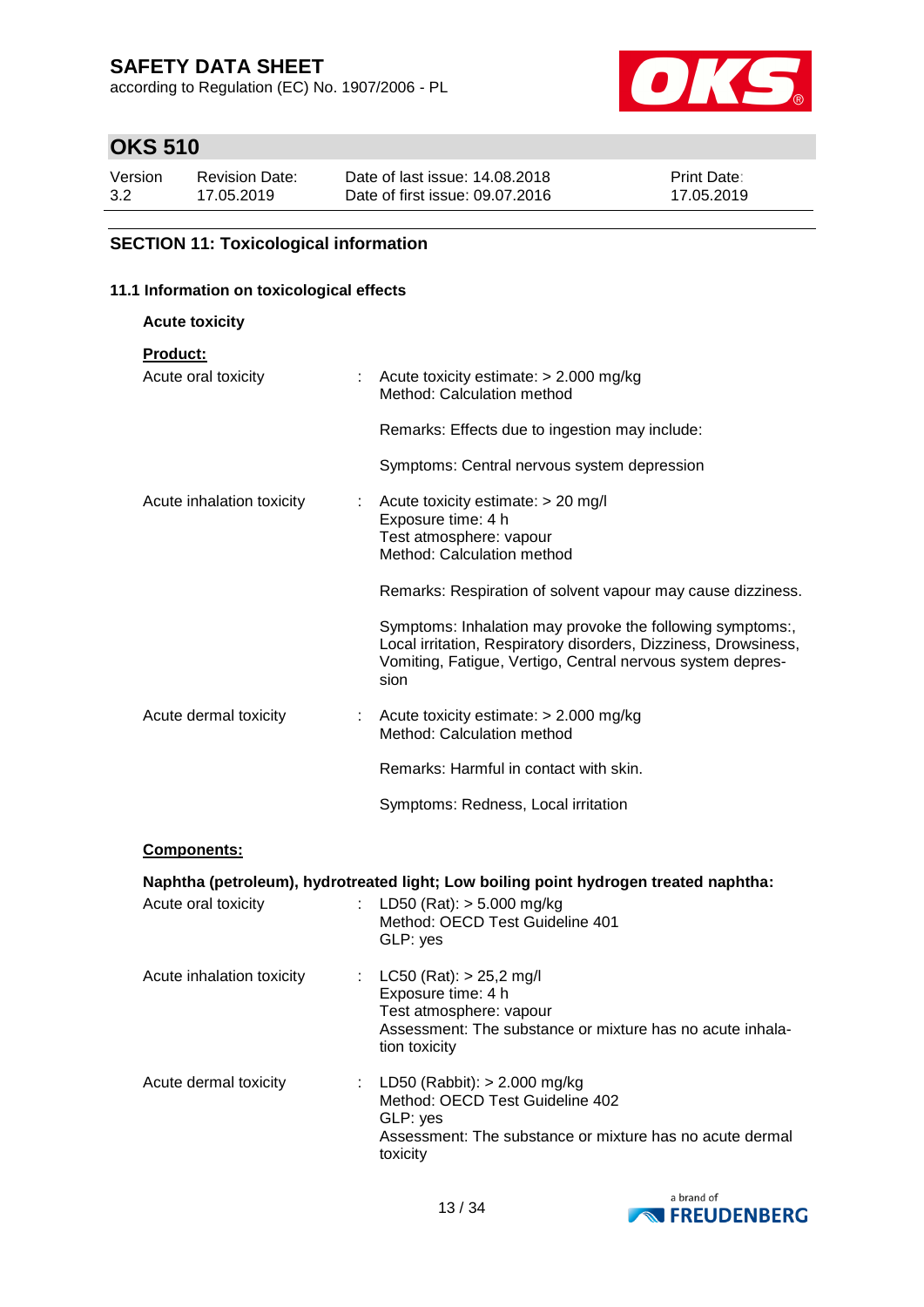according to Regulation (EC) No. 1907/2006 - PL



# **OKS 510**

| Version | <b>Revision Date:</b> | Date of last issue: 14,08,2018  | <b>Print Date:</b> |
|---------|-----------------------|---------------------------------|--------------------|
| 3.2     | 17.05.2019            | Date of first issue: 09.07.2016 | 17.05.2019         |

### **SECTION 11: Toxicological information**

### **11.1 Information on toxicological effects**

| <b>Acute toxicity</b>                  |                                                                                                                                                                                                    |
|----------------------------------------|----------------------------------------------------------------------------------------------------------------------------------------------------------------------------------------------------|
| <b>Product:</b><br>Acute oral toxicity | : Acute toxicity estimate: $> 2.000$ mg/kg<br>Method: Calculation method                                                                                                                           |
|                                        | Remarks: Effects due to ingestion may include:                                                                                                                                                     |
|                                        | Symptoms: Central nervous system depression                                                                                                                                                        |
| Acute inhalation toxicity              | $\therefore$ Acute toxicity estimate: $>$ 20 mg/l<br>Exposure time: 4 h<br>Test atmosphere: vapour<br>Method: Calculation method                                                                   |
|                                        | Remarks: Respiration of solvent vapour may cause dizziness.                                                                                                                                        |
|                                        | Symptoms: Inhalation may provoke the following symptoms:,<br>Local irritation, Respiratory disorders, Dizziness, Drowsiness,<br>Vomiting, Fatigue, Vertigo, Central nervous system depres-<br>sion |
| Acute dermal toxicity                  | : Acute toxicity estimate: $> 2.000$ mg/kg<br>Method: Calculation method                                                                                                                           |
|                                        | Remarks: Harmful in contact with skin.                                                                                                                                                             |
|                                        | Symptoms: Redness, Local irritation                                                                                                                                                                |

### **Components:**

|                           | Naphtha (petroleum), hydrotreated light; Low boiling point hydrogen treated naphtha:                                                                         |
|---------------------------|--------------------------------------------------------------------------------------------------------------------------------------------------------------|
| Acute oral toxicity       | : LD50 (Rat): $>$ 5.000 mg/kg<br>Method: OECD Test Guideline 401<br>GLP: yes                                                                                 |
| Acute inhalation toxicity | : $LC50$ (Rat): $> 25.2$ mg/l<br>Exposure time: 4 h<br>Test atmosphere: vapour<br>Assessment: The substance or mixture has no acute inhala-<br>tion toxicity |
| Acute dermal toxicity     | : LD50 (Rabbit): $> 2.000$ mg/kg<br>Method: OECD Test Guideline 402<br>GLP: yes<br>Assessment: The substance or mixture has no acute dermal<br>toxicity      |

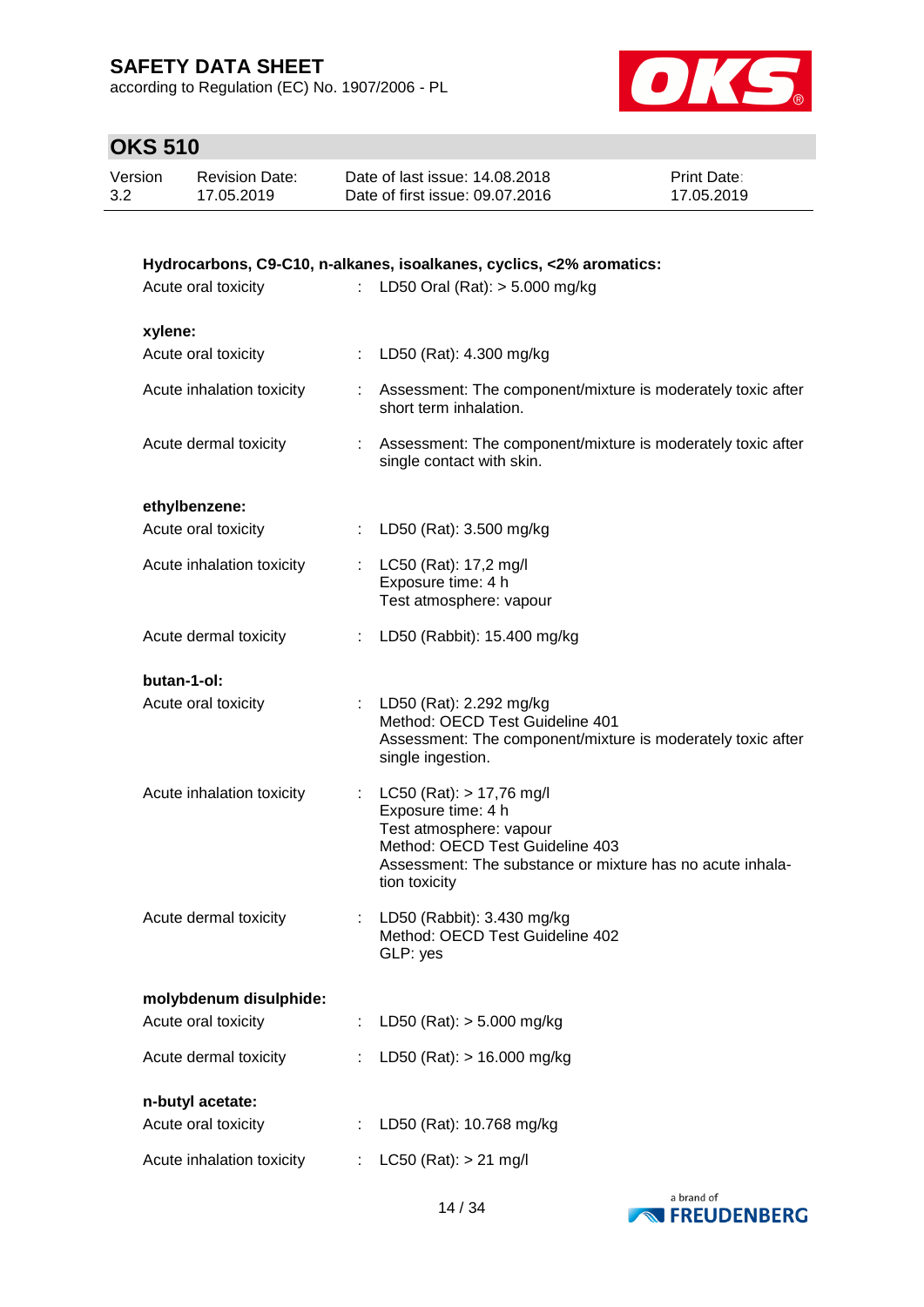according to Regulation (EC) No. 1907/2006 - PL



| Version | <b>Revision Date:</b> | Date of last issue: 14.08.2018  | <b>Print Date:</b> |
|---------|-----------------------|---------------------------------|--------------------|
| 3.2     | 17.05.2019            | Date of first issue: 09.07.2016 | 17.05.2019         |

| Hydrocarbons, C9-C10, n-alkanes, isoalkanes, cyclics, <2% aromatics: |                                                                                                                                                                                                |  |  |  |  |
|----------------------------------------------------------------------|------------------------------------------------------------------------------------------------------------------------------------------------------------------------------------------------|--|--|--|--|
|                                                                      | : LD50 Oral (Rat): $>$ 5.000 mg/kg                                                                                                                                                             |  |  |  |  |
|                                                                      |                                                                                                                                                                                                |  |  |  |  |
|                                                                      |                                                                                                                                                                                                |  |  |  |  |
| ÷.                                                                   | LD50 (Rat): 4.300 mg/kg                                                                                                                                                                        |  |  |  |  |
|                                                                      | : Assessment: The component/mixture is moderately toxic after<br>short term inhalation.                                                                                                        |  |  |  |  |
|                                                                      | : Assessment: The component/mixture is moderately toxic after<br>single contact with skin.                                                                                                     |  |  |  |  |
|                                                                      |                                                                                                                                                                                                |  |  |  |  |
|                                                                      | : LD50 (Rat): $3.500$ mg/kg                                                                                                                                                                    |  |  |  |  |
|                                                                      | : LC50 (Rat): $17,2 \text{ mg/l}$<br>Exposure time: 4 h<br>Test atmosphere: vapour                                                                                                             |  |  |  |  |
|                                                                      | : LD50 (Rabbit): 15.400 mg/kg                                                                                                                                                                  |  |  |  |  |
|                                                                      |                                                                                                                                                                                                |  |  |  |  |
|                                                                      | : LD50 (Rat): 2.292 mg/kg<br>Method: OECD Test Guideline 401<br>Assessment: The component/mixture is moderately toxic after<br>single ingestion.                                               |  |  |  |  |
|                                                                      | : LC50 (Rat): $> 17,76$ mg/l<br>Exposure time: 4 h<br>Test atmosphere: vapour<br>Method: OECD Test Guideline 403<br>Assessment: The substance or mixture has no acute inhala-<br>tion toxicity |  |  |  |  |
| ÷                                                                    | LD50 (Rabbit): 3.430 mg/kg<br>Method: OECD Test Guideline 402<br>GLP: yes                                                                                                                      |  |  |  |  |
|                                                                      |                                                                                                                                                                                                |  |  |  |  |
| ÷                                                                    | LD50 (Rat): $> 5.000$ mg/kg                                                                                                                                                                    |  |  |  |  |
|                                                                      | LD50 (Rat): > 16.000 mg/kg                                                                                                                                                                     |  |  |  |  |
|                                                                      |                                                                                                                                                                                                |  |  |  |  |
| ÷                                                                    | LD50 (Rat): 10.768 mg/kg                                                                                                                                                                       |  |  |  |  |
| ÷                                                                    | $LC50$ (Rat): $> 21$ mg/l                                                                                                                                                                      |  |  |  |  |
|                                                                      |                                                                                                                                                                                                |  |  |  |  |

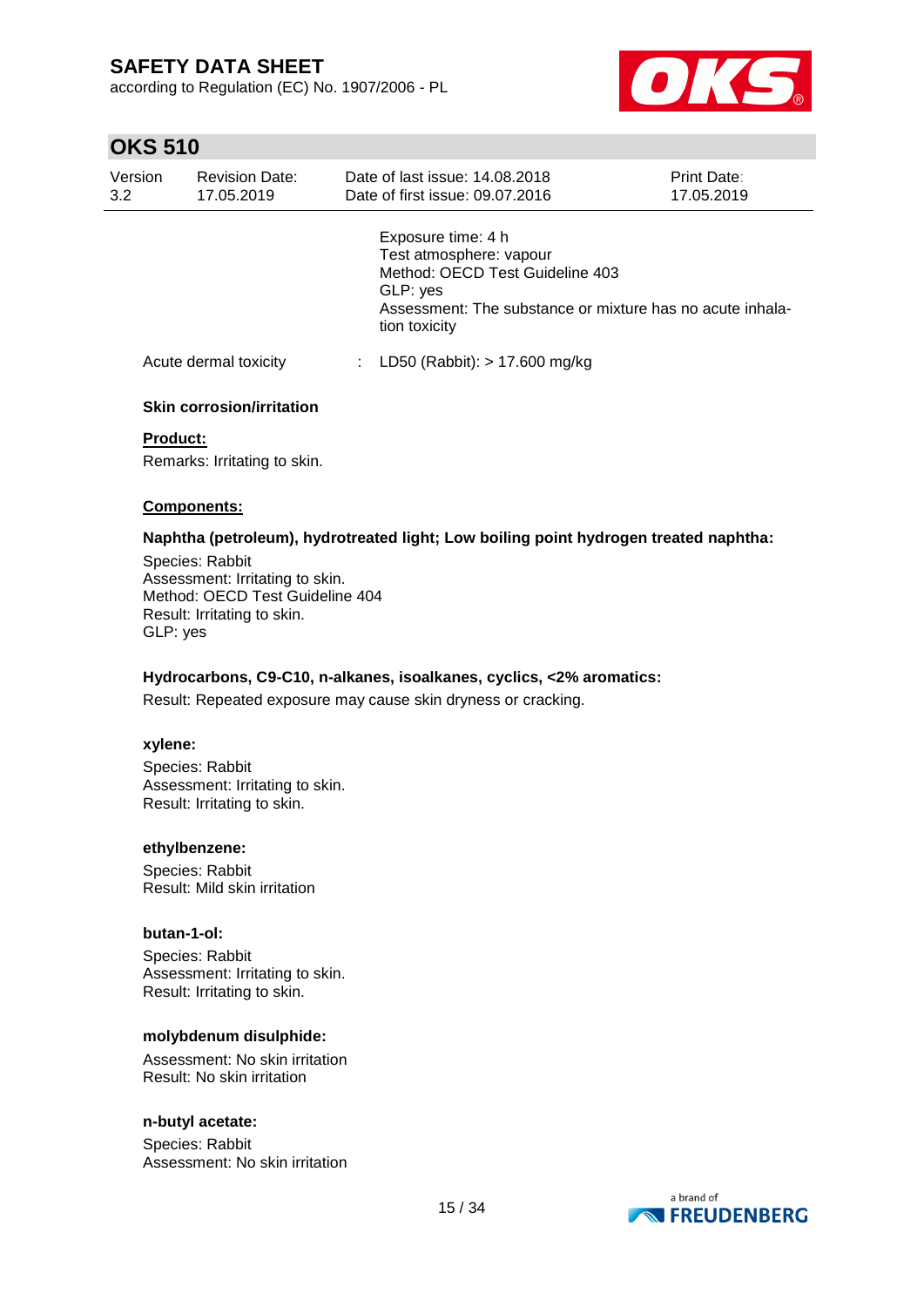according to Regulation (EC) No. 1907/2006 - PL



### **OKS 510**

| Version<br>3.2 | <b>Revision Date:</b><br>17.05.2019 | Date of last issue: 14,08,2018<br>Date of first issue: 09.07.2016                                                                                                          | Print Date:<br>17.05.2019 |
|----------------|-------------------------------------|----------------------------------------------------------------------------------------------------------------------------------------------------------------------------|---------------------------|
|                |                                     | Exposure time: 4 h<br>Test atmosphere: vapour<br>Method: OECD Test Guideline 403<br>GLP: yes<br>Assessment: The substance or mixture has no acute inhala-<br>tion toxicity |                           |
|                | Acute dermal toxicity               | LD50 (Rabbit): $> 17.600$ mg/kg                                                                                                                                            |                           |

### **Skin corrosion/irritation**

#### **Product:**

Remarks: Irritating to skin.

#### **Components:**

#### **Naphtha (petroleum), hydrotreated light; Low boiling point hydrogen treated naphtha:**

Species: Rabbit Assessment: Irritating to skin. Method: OECD Test Guideline 404 Result: Irritating to skin. GLP: yes

#### **Hydrocarbons, C9-C10, n-alkanes, isoalkanes, cyclics, <2% aromatics:**

Result: Repeated exposure may cause skin dryness or cracking.

#### **xylene:**

Species: Rabbit Assessment: Irritating to skin. Result: Irritating to skin.

#### **ethylbenzene:**

Species: Rabbit Result: Mild skin irritation

#### **butan-1-ol:**

Species: Rabbit Assessment: Irritating to skin. Result: Irritating to skin.

#### **molybdenum disulphide:**

Assessment: No skin irritation Result: No skin irritation

#### **n-butyl acetate:**

Species: Rabbit Assessment: No skin irritation

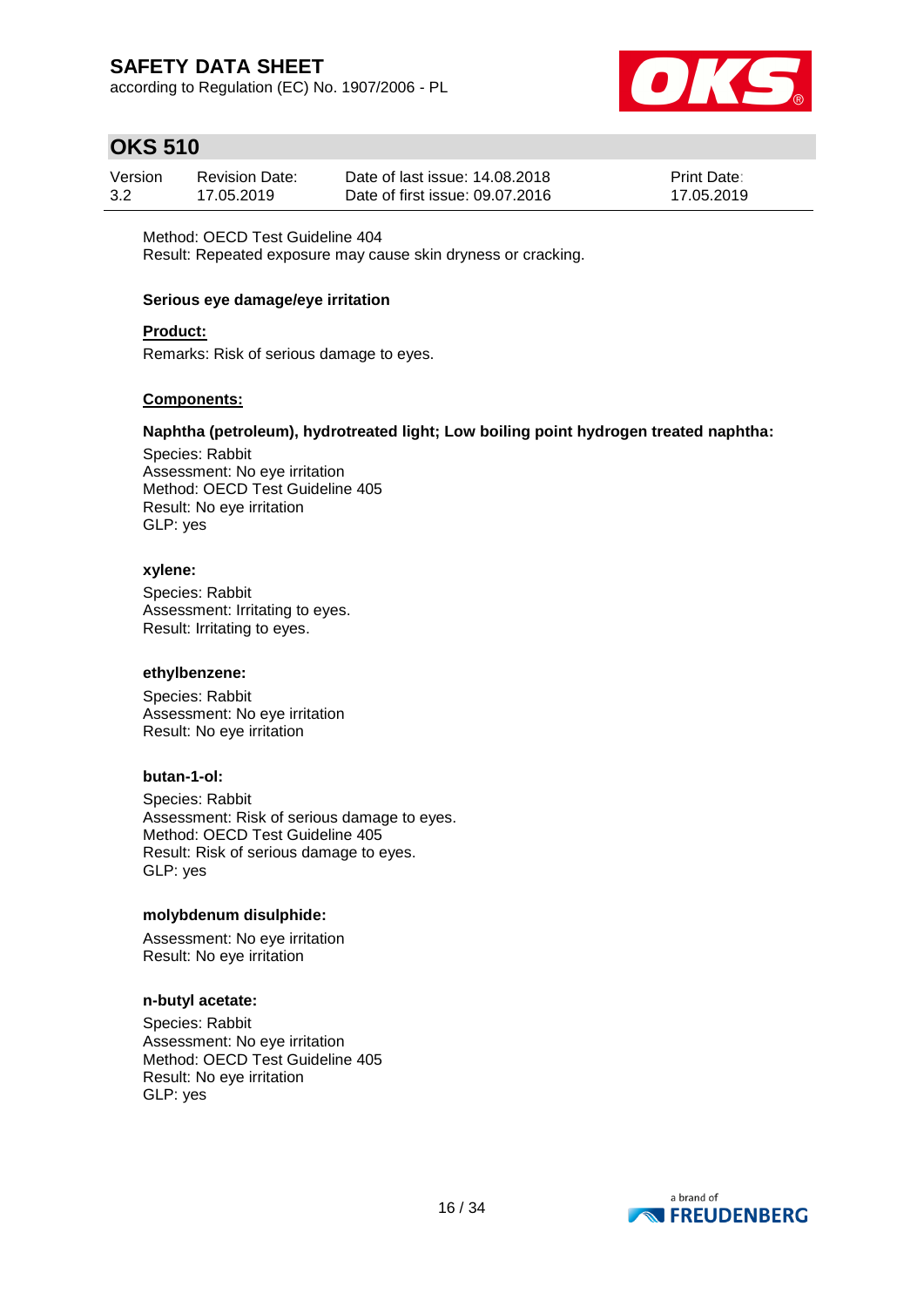according to Regulation (EC) No. 1907/2006 - PL



### **OKS 510**

| Version | Revision Date: | Date of last issue: 14.08.2018  | <b>Print Date:</b> |
|---------|----------------|---------------------------------|--------------------|
| 3.2     | 17.05.2019     | Date of first issue: 09.07.2016 | 17.05.2019         |

Method: OECD Test Guideline 404 Result: Repeated exposure may cause skin dryness or cracking.

#### **Serious eye damage/eye irritation**

#### **Product:**

Remarks: Risk of serious damage to eyes.

### **Components:**

#### **Naphtha (petroleum), hydrotreated light; Low boiling point hydrogen treated naphtha:**

Species: Rabbit Assessment: No eye irritation Method: OECD Test Guideline 405 Result: No eye irritation GLP: yes

#### **xylene:**

Species: Rabbit Assessment: Irritating to eyes. Result: Irritating to eyes.

#### **ethylbenzene:**

Species: Rabbit Assessment: No eye irritation Result: No eye irritation

#### **butan-1-ol:**

Species: Rabbit Assessment: Risk of serious damage to eyes. Method: OECD Test Guideline 405 Result: Risk of serious damage to eyes. GLP: yes

#### **molybdenum disulphide:**

Assessment: No eye irritation Result: No eye irritation

#### **n-butyl acetate:**

Species: Rabbit Assessment: No eye irritation Method: OECD Test Guideline 405 Result: No eye irritation GLP: yes

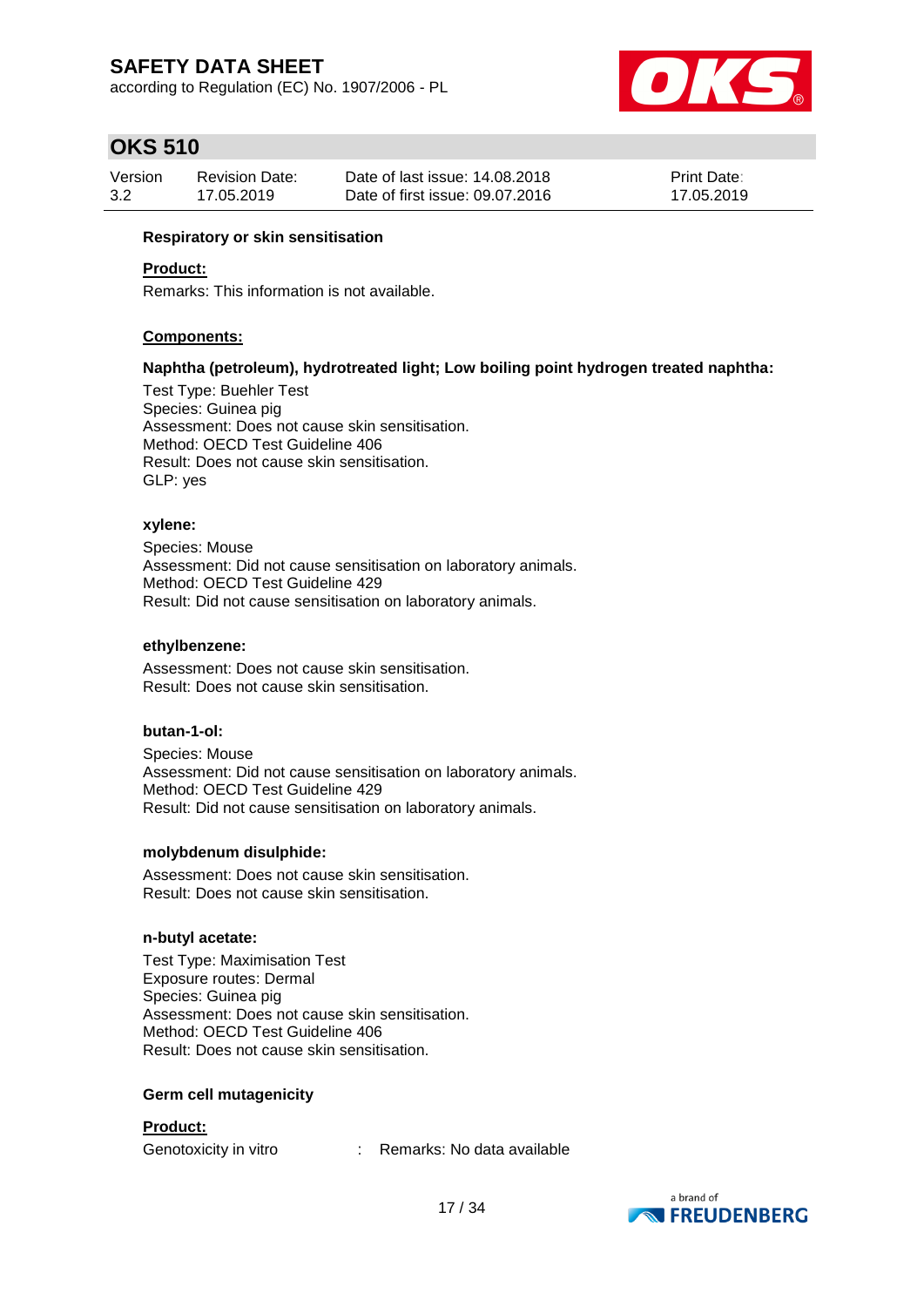according to Regulation (EC) No. 1907/2006 - PL



### **OKS 510**

| Version | <b>Revision Date:</b> | Date of last issue: 14,08,2018  | <b>Print Date:</b> |
|---------|-----------------------|---------------------------------|--------------------|
| 3.2     | 17.05.2019            | Date of first issue: 09.07.2016 | 17.05.2019         |

#### **Respiratory or skin sensitisation**

#### **Product:**

Remarks: This information is not available.

#### **Components:**

#### **Naphtha (petroleum), hydrotreated light; Low boiling point hydrogen treated naphtha:**

Test Type: Buehler Test Species: Guinea pig Assessment: Does not cause skin sensitisation. Method: OECD Test Guideline 406 Result: Does not cause skin sensitisation. GLP: yes

#### **xylene:**

Species: Mouse Assessment: Did not cause sensitisation on laboratory animals. Method: OECD Test Guideline 429 Result: Did not cause sensitisation on laboratory animals.

#### **ethylbenzene:**

Assessment: Does not cause skin sensitisation. Result: Does not cause skin sensitisation.

#### **butan-1-ol:**

Species: Mouse Assessment: Did not cause sensitisation on laboratory animals. Method: OECD Test Guideline 429 Result: Did not cause sensitisation on laboratory animals.

#### **molybdenum disulphide:**

Assessment: Does not cause skin sensitisation. Result: Does not cause skin sensitisation.

#### **n-butyl acetate:**

Test Type: Maximisation Test Exposure routes: Dermal Species: Guinea pig Assessment: Does not cause skin sensitisation. Method: OECD Test Guideline 406 Result: Does not cause skin sensitisation.

#### **Germ cell mutagenicity**

**Product:**

Genotoxicity in vitro : Remarks: No data available

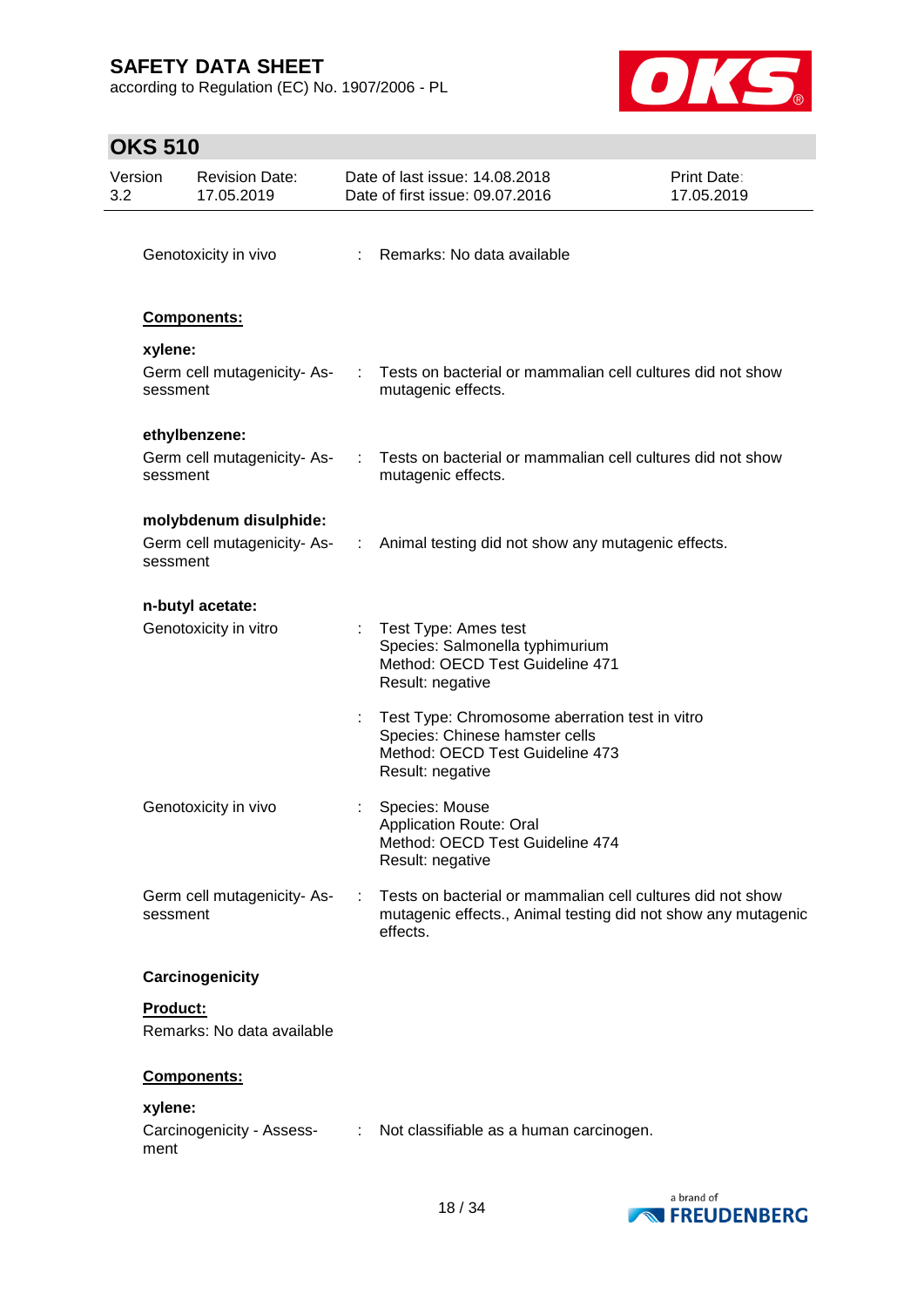according to Regulation (EC) No. 1907/2006 - PL



| Version<br>3.2 |                 | <b>Revision Date:</b><br>17.05.2019 |            | Date of last issue: 14.08.2018<br>Date of first issue: 09.07.2016                                                                       | <b>Print Date:</b><br>17.05.2019 |
|----------------|-----------------|-------------------------------------|------------|-----------------------------------------------------------------------------------------------------------------------------------------|----------------------------------|
|                |                 | Genotoxicity in vivo                | ÷          | Remarks: No data available                                                                                                              |                                  |
|                |                 | Components:                         |            |                                                                                                                                         |                                  |
|                | xylene:         |                                     |            |                                                                                                                                         |                                  |
|                | sessment        | Germ cell mutagenicity-As-          | $\sim 10$  | Tests on bacterial or mammalian cell cultures did not show<br>mutagenic effects.                                                        |                                  |
|                |                 | ethylbenzene:                       |            |                                                                                                                                         |                                  |
|                | sessment        | Germ cell mutagenicity- As-         |            | Tests on bacterial or mammalian cell cultures did not show<br>mutagenic effects.                                                        |                                  |
|                |                 | molybdenum disulphide:              |            |                                                                                                                                         |                                  |
|                | sessment        | Germ cell mutagenicity-As-          | $\sim 100$ | Animal testing did not show any mutagenic effects.                                                                                      |                                  |
|                |                 | n-butyl acetate:                    |            |                                                                                                                                         |                                  |
|                |                 | Genotoxicity in vitro               |            | Test Type: Ames test<br>Species: Salmonella typhimurium<br>Method: OECD Test Guideline 471<br>Result: negative                          |                                  |
|                |                 |                                     |            | Test Type: Chromosome aberration test in vitro<br>Species: Chinese hamster cells<br>Method: OECD Test Guideline 473<br>Result: negative |                                  |
|                |                 | Genotoxicity in vivo                |            | Species: Mouse<br>Application Route: Oral<br>Method: OECD Test Guideline 474<br>Result: negative                                        |                                  |
|                | sessment        | Germ cell mutagenicity-As-          |            | Tests on bacterial or mammalian cell cultures did not show<br>mutagenic effects., Animal testing did not show any mutagenic<br>effects. |                                  |
|                |                 | Carcinogenicity                     |            |                                                                                                                                         |                                  |
|                | <b>Product:</b> | Remarks: No data available          |            |                                                                                                                                         |                                  |
|                |                 | Components:                         |            |                                                                                                                                         |                                  |
|                | xylene:         |                                     |            |                                                                                                                                         |                                  |
|                | ment            | Carcinogenicity - Assess-           | ÷          | Not classifiable as a human carcinogen.                                                                                                 |                                  |

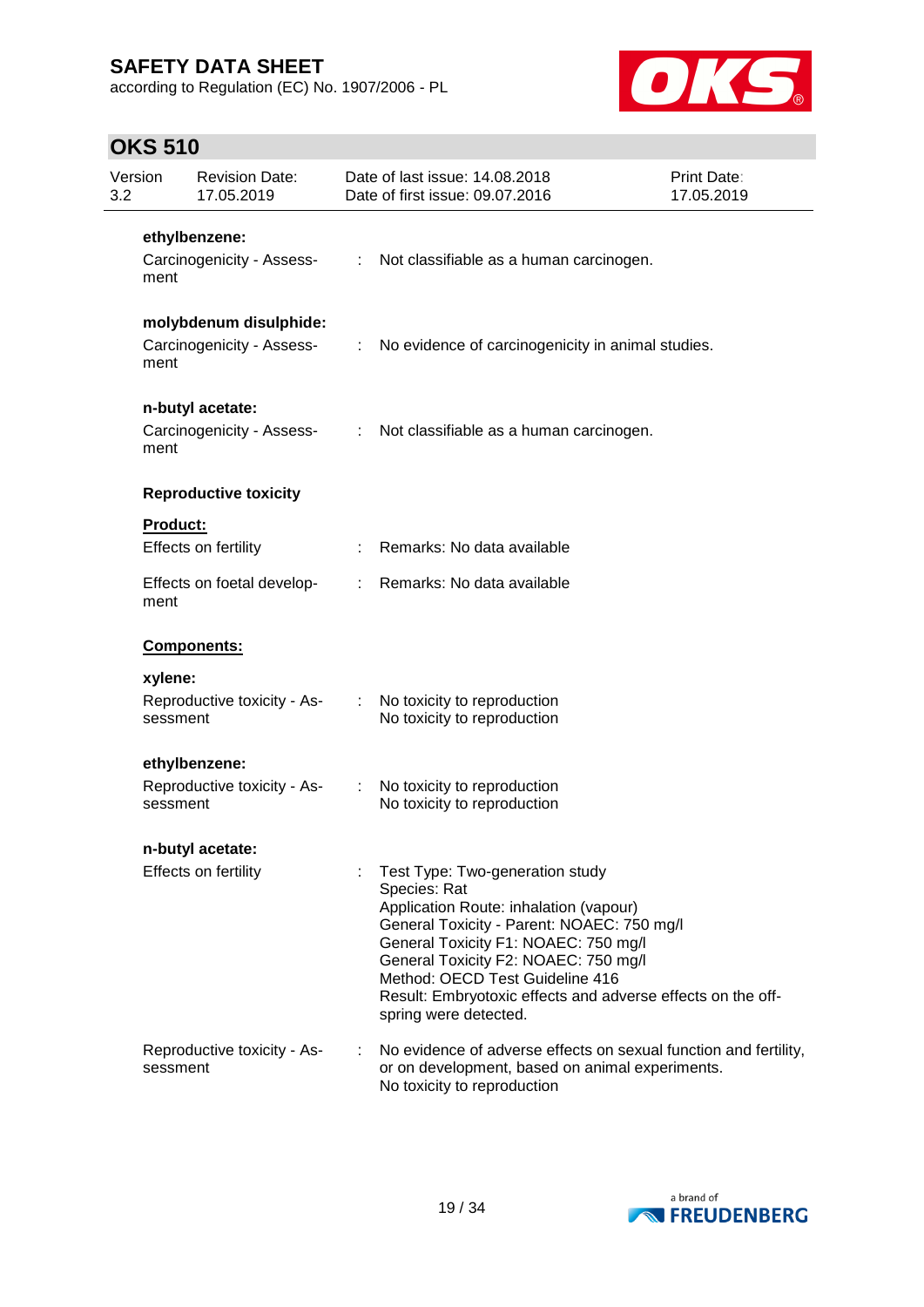according to Regulation (EC) No. 1907/2006 - PL



| Version<br>3.2 | <b>Revision Date:</b><br>17.05.2019                 |                | Date of last issue: 14.08.2018<br>Date of first issue: 09.07.2016                                                                                                                                                                                                                                                                                  | <b>Print Date:</b><br>17.05.2019 |
|----------------|-----------------------------------------------------|----------------|----------------------------------------------------------------------------------------------------------------------------------------------------------------------------------------------------------------------------------------------------------------------------------------------------------------------------------------------------|----------------------------------|
|                | ethylbenzene:                                       |                |                                                                                                                                                                                                                                                                                                                                                    |                                  |
| ment           | Carcinogenicity - Assess-                           | ÷              | Not classifiable as a human carcinogen.                                                                                                                                                                                                                                                                                                            |                                  |
| ment           | molybdenum disulphide:<br>Carcinogenicity - Assess- | ÷              | No evidence of carcinogenicity in animal studies.                                                                                                                                                                                                                                                                                                  |                                  |
| ment           | n-butyl acetate:<br>Carcinogenicity - Assess-       |                | : Not classifiable as a human carcinogen.                                                                                                                                                                                                                                                                                                          |                                  |
|                | <b>Reproductive toxicity</b>                        |                |                                                                                                                                                                                                                                                                                                                                                    |                                  |
|                | Product:<br>Effects on fertility                    |                | Remarks: No data available                                                                                                                                                                                                                                                                                                                         |                                  |
| ment           | Effects on foetal develop-                          | $\mathbb{R}^n$ | Remarks: No data available                                                                                                                                                                                                                                                                                                                         |                                  |
|                | Components:                                         |                |                                                                                                                                                                                                                                                                                                                                                    |                                  |
| xylene:        |                                                     |                |                                                                                                                                                                                                                                                                                                                                                    |                                  |
|                | Reproductive toxicity - As-<br>sessment             |                | No toxicity to reproduction<br>No toxicity to reproduction                                                                                                                                                                                                                                                                                         |                                  |
|                | ethylbenzene:                                       |                |                                                                                                                                                                                                                                                                                                                                                    |                                  |
|                | Reproductive toxicity - As-<br>sessment             |                | No toxicity to reproduction<br>No toxicity to reproduction                                                                                                                                                                                                                                                                                         |                                  |
|                | n-butyl acetate:                                    |                |                                                                                                                                                                                                                                                                                                                                                    |                                  |
|                | Effects on fertility                                |                | Test Type: Two-generation study<br>Species: Rat<br>Application Route: inhalation (vapour)<br>General Toxicity - Parent: NOAEC: 750 mg/l<br>General Toxicity F1: NOAEC: 750 mg/l<br>General Toxicity F2: NOAEC: 750 mg/l<br>Method: OECD Test Guideline 416<br>Result: Embryotoxic effects and adverse effects on the off-<br>spring were detected. |                                  |
|                | Reproductive toxicity - As-<br>sessment             |                | No evidence of adverse effects on sexual function and fertility,<br>or on development, based on animal experiments.<br>No toxicity to reproduction                                                                                                                                                                                                 |                                  |

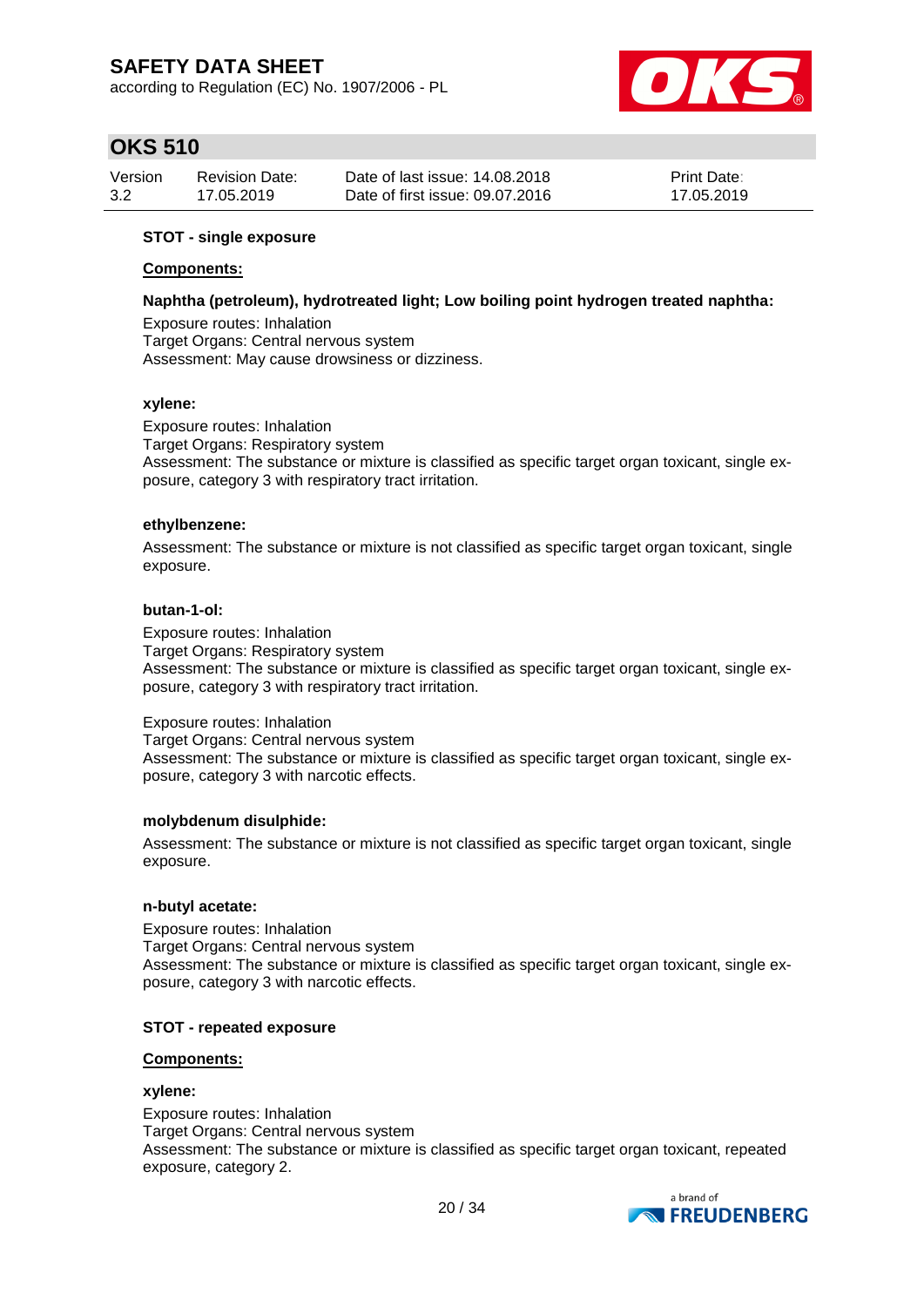according to Regulation (EC) No. 1907/2006 - PL



### **OKS 510**

| Version | <b>Revision Date:</b> | Date of last issue: 14.08.2018  | <b>Print Date:</b> |
|---------|-----------------------|---------------------------------|--------------------|
| 3.2     | 17.05.2019            | Date of first issue: 09.07.2016 | 17.05.2019         |

### **STOT - single exposure**

#### **Components:**

#### **Naphtha (petroleum), hydrotreated light; Low boiling point hydrogen treated naphtha:**

Exposure routes: Inhalation Target Organs: Central nervous system Assessment: May cause drowsiness or dizziness.

#### **xylene:**

Exposure routes: Inhalation Target Organs: Respiratory system Assessment: The substance or mixture is classified as specific target organ toxicant, single exposure, category 3 with respiratory tract irritation.

#### **ethylbenzene:**

Assessment: The substance or mixture is not classified as specific target organ toxicant, single exposure.

#### **butan-1-ol:**

Exposure routes: Inhalation Target Organs: Respiratory system Assessment: The substance or mixture is classified as specific target organ toxicant, single exposure, category 3 with respiratory tract irritation.

Exposure routes: Inhalation

Target Organs: Central nervous system Assessment: The substance or mixture is classified as specific target organ toxicant, single exposure, category 3 with narcotic effects.

#### **molybdenum disulphide:**

Assessment: The substance or mixture is not classified as specific target organ toxicant, single exposure.

#### **n-butyl acetate:**

Exposure routes: Inhalation Target Organs: Central nervous system Assessment: The substance or mixture is classified as specific target organ toxicant, single exposure, category 3 with narcotic effects.

#### **STOT - repeated exposure**

### **Components:**

#### **xylene:**

Exposure routes: Inhalation Target Organs: Central nervous system Assessment: The substance or mixture is classified as specific target organ toxicant, repeated exposure, category 2.

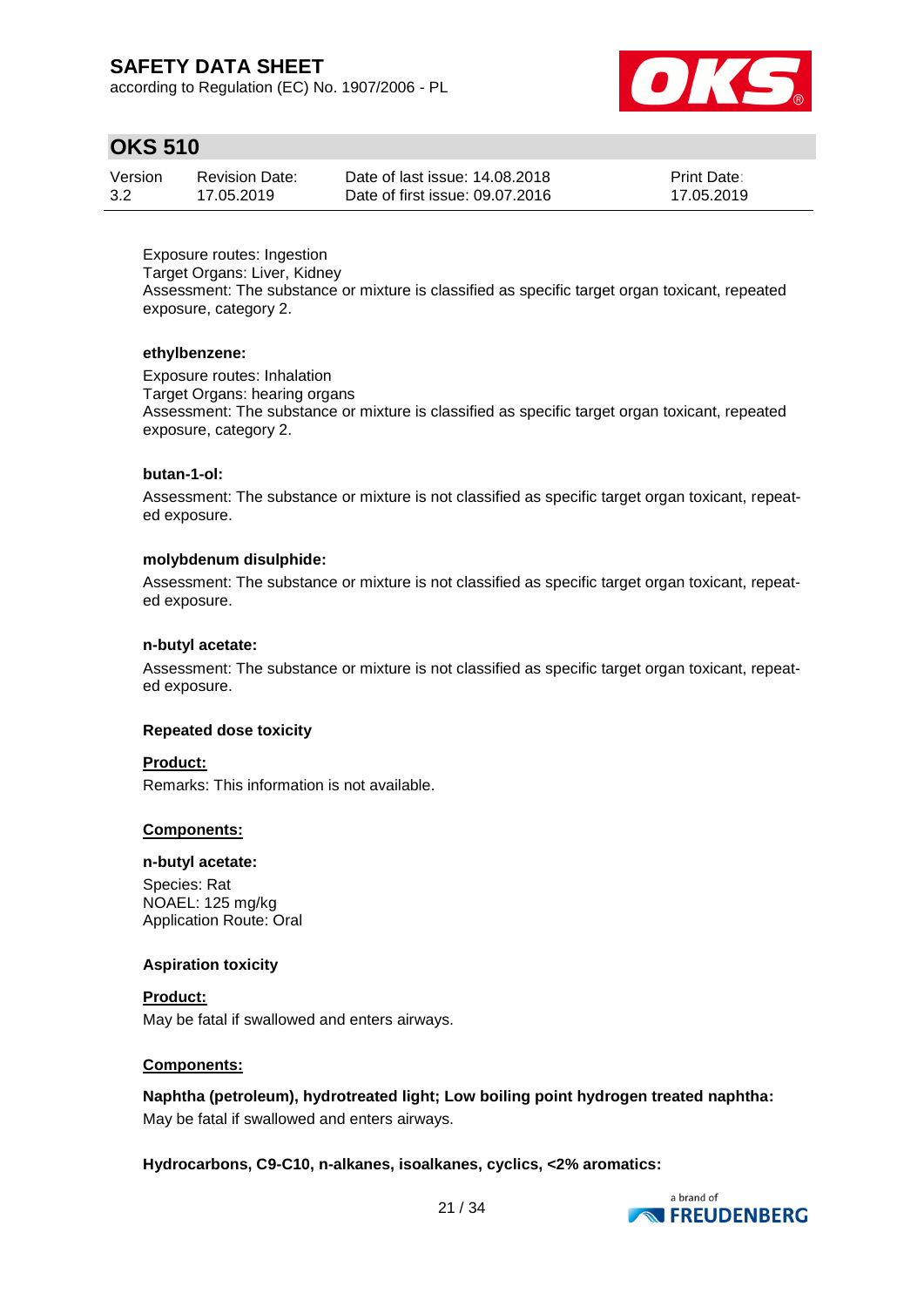according to Regulation (EC) No. 1907/2006 - PL



### **OKS 510**

| Version | Revision Date: | Date of last issue: 14.08.2018  | <b>Print Date:</b> |
|---------|----------------|---------------------------------|--------------------|
| 3.2     | 17.05.2019     | Date of first issue: 09.07.2016 | 17.05.2019         |

Exposure routes: Ingestion Target Organs: Liver, Kidney Assessment: The substance or mixture is classified as specific target organ toxicant, repeated exposure, category 2.

#### **ethylbenzene:**

Exposure routes: Inhalation Target Organs: hearing organs Assessment: The substance or mixture is classified as specific target organ toxicant, repeated exposure, category 2.

#### **butan-1-ol:**

Assessment: The substance or mixture is not classified as specific target organ toxicant, repeated exposure.

#### **molybdenum disulphide:**

Assessment: The substance or mixture is not classified as specific target organ toxicant, repeated exposure.

#### **n-butyl acetate:**

Assessment: The substance or mixture is not classified as specific target organ toxicant, repeated exposure.

#### **Repeated dose toxicity**

#### **Product:**

Remarks: This information is not available.

#### **Components:**

#### **n-butyl acetate:**

Species: Rat NOAEL: 125 mg/kg Application Route: Oral

#### **Aspiration toxicity**

**Product:** May be fatal if swallowed and enters airways.

#### **Components:**

**Naphtha (petroleum), hydrotreated light; Low boiling point hydrogen treated naphtha:** May be fatal if swallowed and enters airways.

**Hydrocarbons, C9-C10, n-alkanes, isoalkanes, cyclics, <2% aromatics:**

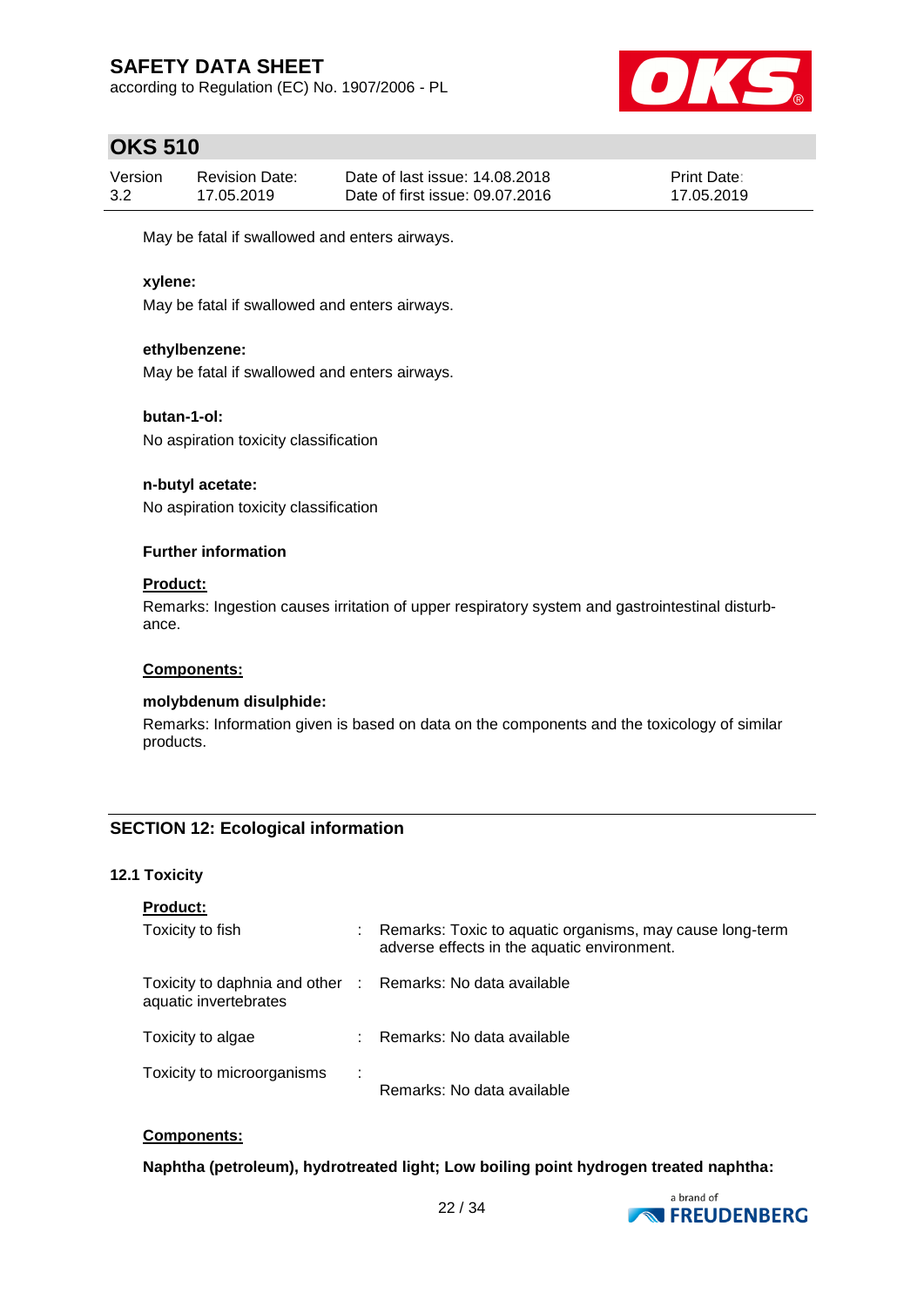according to Regulation (EC) No. 1907/2006 - PL



### **OKS 510**

| Version | <b>Revision Date:</b> | Date of last issue: 14.08.2018  | <b>Print Date:</b> |
|---------|-----------------------|---------------------------------|--------------------|
| 3.2     | 17.05.2019            | Date of first issue: 09.07.2016 | 17.05.2019         |

May be fatal if swallowed and enters airways.

#### **xylene:**

May be fatal if swallowed and enters airways.

#### **ethylbenzene:**

May be fatal if swallowed and enters airways.

#### **butan-1-ol:**

No aspiration toxicity classification

#### **n-butyl acetate:**

No aspiration toxicity classification

#### **Further information**

#### **Product:**

Remarks: Ingestion causes irritation of upper respiratory system and gastrointestinal disturbance.

#### **Components:**

#### **molybdenum disulphide:**

Remarks: Information given is based on data on the components and the toxicology of similar products.

### **SECTION 12: Ecological information**

#### **12.1 Toxicity**

| <b>Product:</b>                                                                     |   |                                                                                                         |
|-------------------------------------------------------------------------------------|---|---------------------------------------------------------------------------------------------------------|
| Toxicity to fish                                                                    |   | Remarks: Toxic to aquatic organisms, may cause long-term<br>adverse effects in the aquatic environment. |
| Toxicity to daphnia and other : Remarks: No data available<br>aquatic invertebrates |   |                                                                                                         |
| Toxicity to algae                                                                   |   | Remarks: No data available                                                                              |
| Toxicity to microorganisms                                                          | ÷ | Remarks: No data available                                                                              |

#### **Components:**

**Naphtha (petroleum), hydrotreated light; Low boiling point hydrogen treated naphtha:**

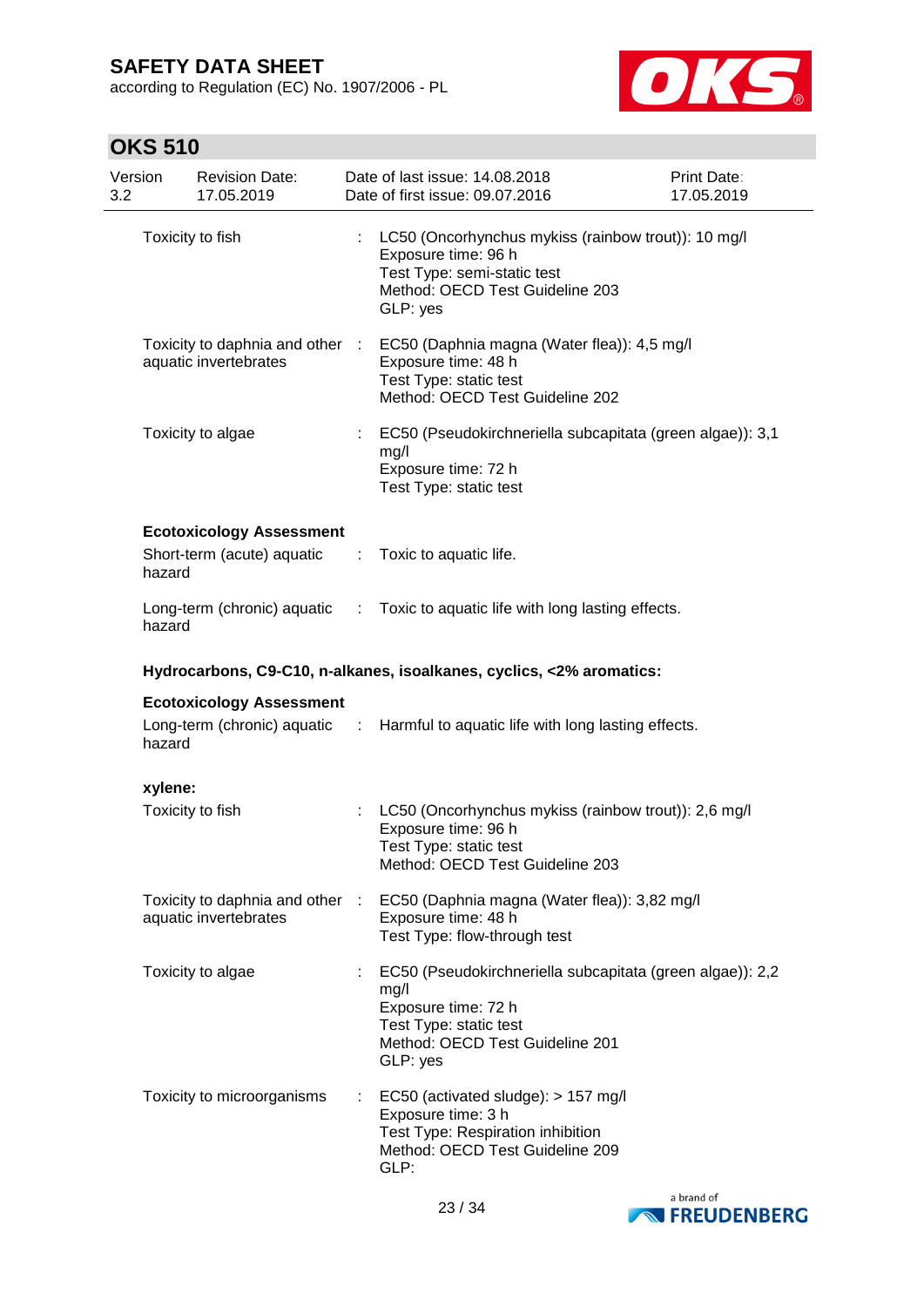according to Regulation (EC) No. 1907/2006 - PL



| Version<br>3.2 |                  | <b>Revision Date:</b><br>17.05.2019                           | Date of last issue: 14.08.2018<br>Date of first issue: 09.07.2016                                                                                                 | <b>Print Date:</b><br>17.05.2019 |
|----------------|------------------|---------------------------------------------------------------|-------------------------------------------------------------------------------------------------------------------------------------------------------------------|----------------------------------|
|                | Toxicity to fish |                                                               | LC50 (Oncorhynchus mykiss (rainbow trout)): 10 mg/l<br>Exposure time: 96 h<br>Test Type: semi-static test<br>Method: OECD Test Guideline 203<br>GLP: yes          |                                  |
|                |                  | Toxicity to daphnia and other :<br>aquatic invertebrates      | EC50 (Daphnia magna (Water flea)): 4,5 mg/l<br>Exposure time: 48 h<br>Test Type: static test<br>Method: OECD Test Guideline 202                                   |                                  |
|                |                  | Toxicity to algae                                             | EC50 (Pseudokirchneriella subcapitata (green algae)): 3,1<br>mg/l<br>Exposure time: 72 h<br>Test Type: static test                                                |                                  |
|                | hazard           | <b>Ecotoxicology Assessment</b><br>Short-term (acute) aquatic | : Toxic to aquatic life.                                                                                                                                          |                                  |
|                | hazard           |                                                               | Long-term (chronic) aquatic : Toxic to aquatic life with long lasting effects.                                                                                    |                                  |
|                |                  |                                                               | Hydrocarbons, C9-C10, n-alkanes, isoalkanes, cyclics, <2% aromatics:                                                                                              |                                  |
|                |                  | <b>Ecotoxicology Assessment</b>                               |                                                                                                                                                                   |                                  |
|                | hazard           |                                                               | Long-term (chronic) aquatic : Harmful to aquatic life with long lasting effects.                                                                                  |                                  |
|                | xylene:          |                                                               |                                                                                                                                                                   |                                  |
|                | Toxicity to fish |                                                               | LC50 (Oncorhynchus mykiss (rainbow trout)): 2,6 mg/l<br>Exposure time: 96 h<br>Test Type: static test<br>Method: OECD Test Guideline 203                          |                                  |
|                |                  | Toxicity to daphnia and other :<br>aquatic invertebrates      | EC50 (Daphnia magna (Water flea)): 3,82 mg/l<br>Exposure time: 48 h<br>Test Type: flow-through test                                                               |                                  |
|                |                  | Toxicity to algae                                             | EC50 (Pseudokirchneriella subcapitata (green algae)): 2,2<br>mg/l<br>Exposure time: 72 h<br>Test Type: static test<br>Method: OECD Test Guideline 201<br>GLP: yes |                                  |
|                |                  | Toxicity to microorganisms                                    | EC50 (activated sludge): > 157 mg/l<br>Exposure time: 3 h<br>Test Type: Respiration inhibition<br>Method: OECD Test Guideline 209<br>GLP:                         |                                  |

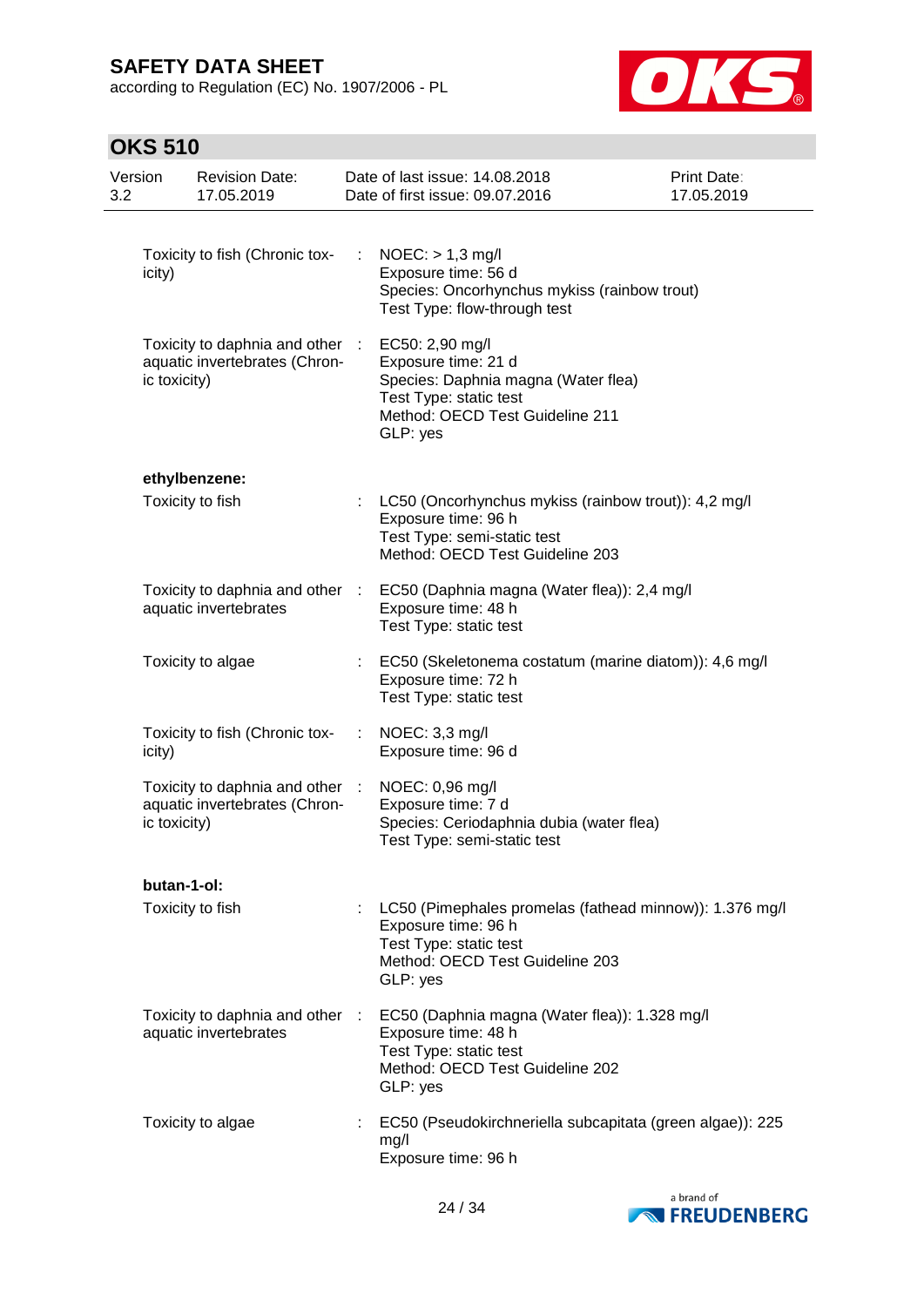according to Regulation (EC) No. 1907/2006 - PL



| 3.2 | Version      | <b>Revision Date:</b><br>17.05.2019                              |   | Date of last issue: 14.08.2018<br>Date of first issue: 09.07.2016                                                                                         | Print Date:<br>17.05.2019 |
|-----|--------------|------------------------------------------------------------------|---|-----------------------------------------------------------------------------------------------------------------------------------------------------------|---------------------------|
|     |              |                                                                  |   |                                                                                                                                                           |                           |
|     | icity)       | Toxicity to fish (Chronic tox-                                   | ÷ | $NOEC:$ > 1,3 mg/l<br>Exposure time: 56 d<br>Species: Oncorhynchus mykiss (rainbow trout)<br>Test Type: flow-through test                                 |                           |
|     | ic toxicity) | Toxicity to daphnia and other :<br>aquatic invertebrates (Chron- |   | EC50: 2,90 mg/l<br>Exposure time: 21 d<br>Species: Daphnia magna (Water flea)<br>Test Type: static test<br>Method: OECD Test Guideline 211<br>GLP: yes    |                           |
|     |              | ethylbenzene:                                                    |   |                                                                                                                                                           |                           |
|     |              | Toxicity to fish                                                 |   | : LC50 (Oncorhynchus mykiss (rainbow trout)): 4,2 mg/l<br>Exposure time: 96 h<br>Test Type: semi-static test<br>Method: OECD Test Guideline 203           |                           |
|     |              | aquatic invertebrates                                            |   | Toxicity to daphnia and other : EC50 (Daphnia magna (Water flea)): 2,4 mg/l<br>Exposure time: 48 h<br>Test Type: static test                              |                           |
|     |              | Toxicity to algae                                                |   | EC50 (Skeletonema costatum (marine diatom)): 4,6 mg/l<br>Exposure time: 72 h<br>Test Type: static test                                                    |                           |
|     | icity)       | Toxicity to fish (Chronic tox-                                   |   | NOEC: 3,3 mg/l<br>Exposure time: 96 d                                                                                                                     |                           |
|     | ic toxicity) | Toxicity to daphnia and other :<br>aquatic invertebrates (Chron- |   | NOEC: 0,96 mg/l<br>Exposure time: 7 d<br>Species: Ceriodaphnia dubia (water flea)<br>Test Type: semi-static test                                          |                           |
|     | butan-1-ol:  |                                                                  |   |                                                                                                                                                           |                           |
|     |              | Toxicity to fish                                                 |   | : LC50 (Pimephales promelas (fathead minnow)): 1.376 mg/l<br>Exposure time: 96 h<br>Test Type: static test<br>Method: OECD Test Guideline 203<br>GLP: yes |                           |
|     |              | Toxicity to daphnia and other :<br>aquatic invertebrates         |   | EC50 (Daphnia magna (Water flea)): 1.328 mg/l<br>Exposure time: 48 h<br>Test Type: static test<br>Method: OECD Test Guideline 202<br>GLP: yes             |                           |
|     |              | Toxicity to algae                                                |   | EC50 (Pseudokirchneriella subcapitata (green algae)): 225<br>mg/l<br>Exposure time: 96 h                                                                  |                           |

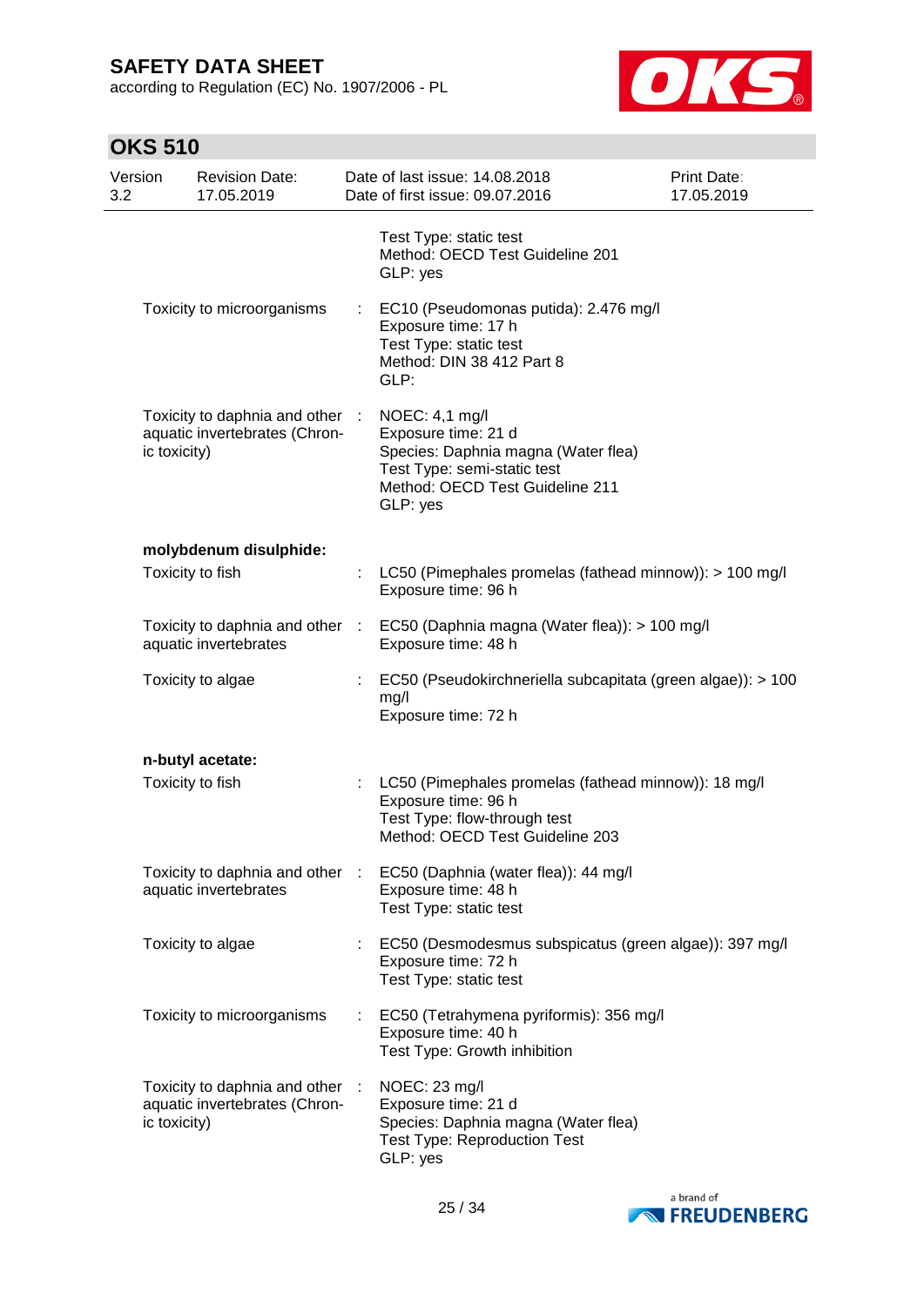according to Regulation (EC) No. 1907/2006 - PL



| Version<br>3.2 |              | <b>Revision Date:</b><br>17.05.2019                            |                           | Date of last issue: 14.08.2018<br>Date of first issue: 09.07.2016                                                                                          | Print Date:<br>17.05.2019 |
|----------------|--------------|----------------------------------------------------------------|---------------------------|------------------------------------------------------------------------------------------------------------------------------------------------------------|---------------------------|
|                |              |                                                                |                           | Test Type: static test<br>Method: OECD Test Guideline 201<br>GLP: yes                                                                                      |                           |
|                |              | Toxicity to microorganisms                                     | t.                        | EC10 (Pseudomonas putida): 2.476 mg/l<br>Exposure time: 17 h<br>Test Type: static test<br>Method: DIN 38 412 Part 8<br>GLP:                                |                           |
|                | ic toxicity) | Toxicity to daphnia and other<br>aquatic invertebrates (Chron- |                           | NOEC: 4,1 mg/l<br>Exposure time: 21 d<br>Species: Daphnia magna (Water flea)<br>Test Type: semi-static test<br>Method: OECD Test Guideline 211<br>GLP: yes |                           |
|                |              | molybdenum disulphide:                                         |                           |                                                                                                                                                            |                           |
|                |              | Toxicity to fish                                               |                           | : LC50 (Pimephales promelas (fathead minnow)): > 100 mg/l<br>Exposure time: 96 h                                                                           |                           |
|                |              | aquatic invertebrates                                          |                           | Toxicity to daphnia and other : EC50 (Daphnia magna (Water flea)): > 100 mg/l<br>Exposure time: 48 h                                                       |                           |
|                |              | Toxicity to algae                                              |                           | EC50 (Pseudokirchneriella subcapitata (green algae)): > 100<br>mg/l<br>Exposure time: 72 h                                                                 |                           |
|                |              | n-butyl acetate:                                               |                           |                                                                                                                                                            |                           |
|                |              | Toxicity to fish                                               |                           | : LC50 (Pimephales promelas (fathead minnow)): 18 mg/l<br>Exposure time: 96 h<br>Test Type: flow-through test<br>Method: OECD Test Guideline 203           |                           |
|                |              | Toxicity to daphnia and other :<br>aquatic invertebrates       |                           | EC50 (Daphnia (water flea)): 44 mg/l<br>Exposure time: 48 h<br>Test Type: static test                                                                      |                           |
|                |              | Toxicity to algae                                              | $\mathbb{Z}^{\mathbb{Z}}$ | EC50 (Desmodesmus subspicatus (green algae)): 397 mg/l<br>Exposure time: 72 h<br>Test Type: static test                                                    |                           |
|                |              | Toxicity to microorganisms                                     |                           | EC50 (Tetrahymena pyriformis): 356 mg/l<br>Exposure time: 40 h<br>Test Type: Growth inhibition                                                             |                           |
|                | ic toxicity) | Toxicity to daphnia and other<br>aquatic invertebrates (Chron- |                           | NOEC: 23 mg/l<br>Exposure time: 21 d<br>Species: Daphnia magna (Water flea)<br><b>Test Type: Reproduction Test</b><br>GLP: yes                             |                           |

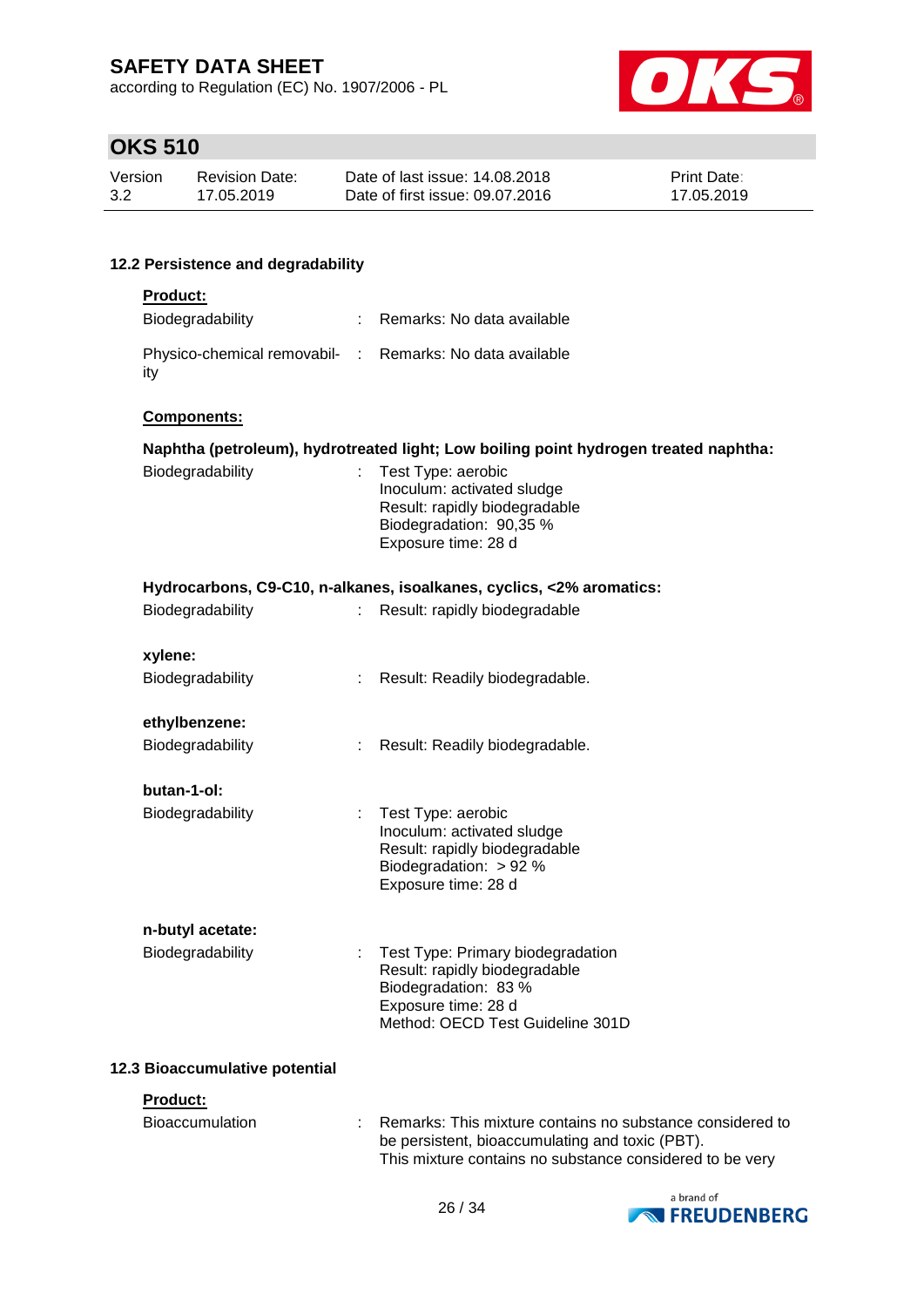according to Regulation (EC) No. 1907/2006 - PL



# **OKS 510**

| Version | <b>Revision Date:</b> | Date of last issue: 14,08,2018  | <b>Print Date:</b> |
|---------|-----------------------|---------------------------------|--------------------|
| 3.2     | 17.05.2019            | Date of first issue: 09.07.2016 | 17.05.2019         |

### **12.2 Persistence and degradability**

| Biodegradability                                                |                | : Remarks: No data available                                                                                                                          |
|-----------------------------------------------------------------|----------------|-------------------------------------------------------------------------------------------------------------------------------------------------------|
| Physico-chemical removabil- : Remarks: No data available<br>ity |                |                                                                                                                                                       |
| Components:                                                     |                |                                                                                                                                                       |
|                                                                 |                | Naphtha (petroleum), hydrotreated light; Low boiling point hydrogen treated naphtha:                                                                  |
| Biodegradability                                                | $\mathbb{R}^n$ | Test Type: aerobic<br>Inoculum: activated sludge<br>Result: rapidly biodegradable<br>Biodegradation: 90,35 %<br>Exposure time: 28 d                   |
|                                                                 |                | Hydrocarbons, C9-C10, n-alkanes, isoalkanes, cyclics, <2% aromatics:                                                                                  |
| Biodegradability                                                | ÷.             | Result: rapidly biodegradable                                                                                                                         |
| xylene:                                                         |                |                                                                                                                                                       |
| Biodegradability                                                | ÷              | Result: Readily biodegradable.                                                                                                                        |
| ethylbenzene:                                                   |                |                                                                                                                                                       |
| Biodegradability                                                |                | Result: Readily biodegradable.                                                                                                                        |
| butan-1-ol:                                                     |                |                                                                                                                                                       |
| Biodegradability                                                | ÷.             | Test Type: aerobic<br>Inoculum: activated sludge<br>Result: rapidly biodegradable<br>Biodegradation: > 92 %<br>Exposure time: 28 d                    |
| n-butyl acetate:                                                |                |                                                                                                                                                       |
| Biodegradability                                                |                | Test Type: Primary biodegradation<br>Result: rapidly biodegradable<br>Biodegradation: 83 %<br>Exposure time: 28 d<br>Method: OECD Test Guideline 301D |
|                                                                 |                |                                                                                                                                                       |

**Product:**

| Bioaccumulation | : Remarks: This mixture contains no substance considered to |
|-----------------|-------------------------------------------------------------|
|                 | be persistent, bioaccumulating and toxic (PBT).             |
|                 | This mixture contains no substance considered to be very    |

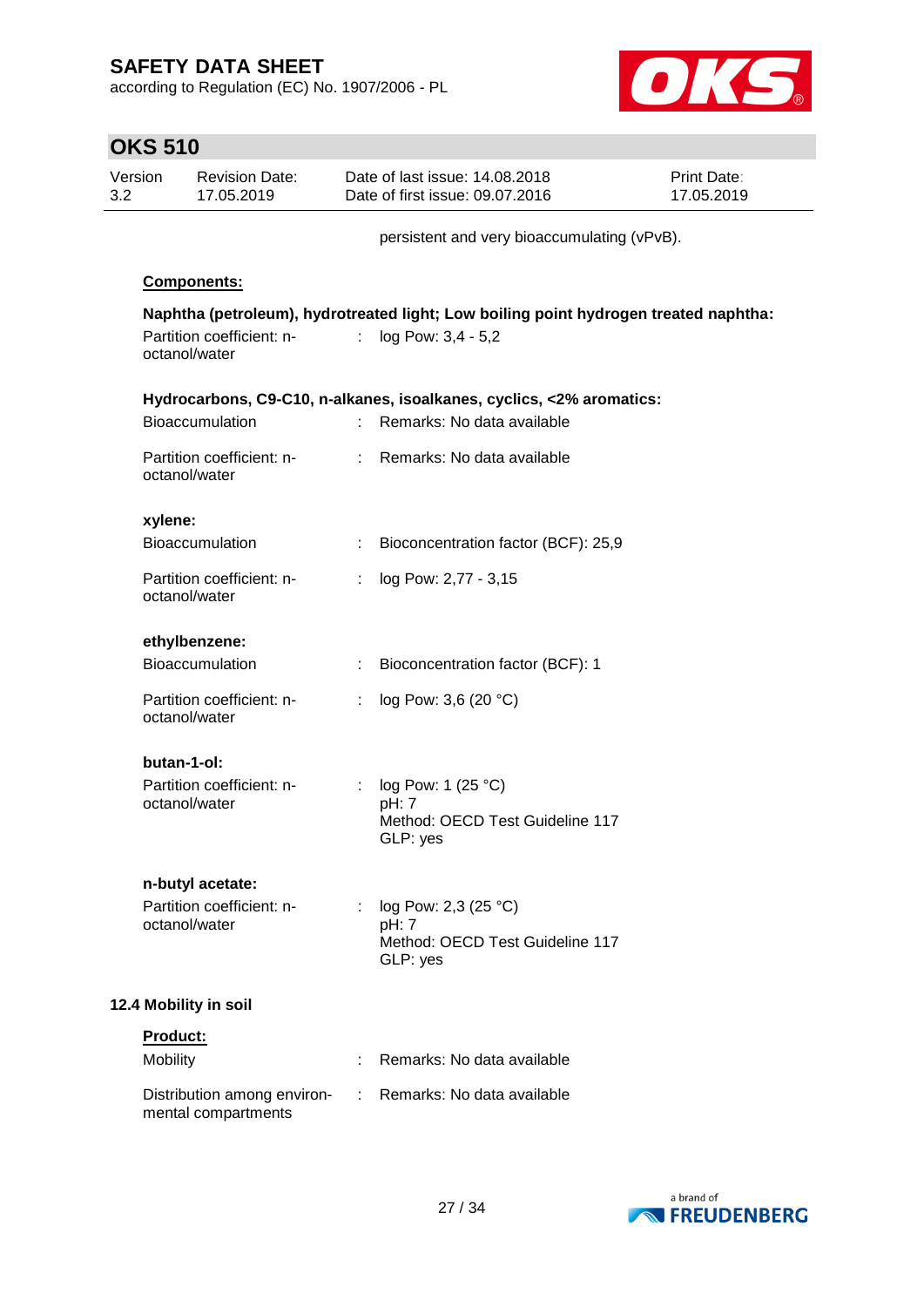according to Regulation (EC) No. 1907/2006 - PL



| <b>OKS 510</b> |                                                                                                                                                          |                                                    |                               |                                                                              |                           |  |  |  |  |
|----------------|----------------------------------------------------------------------------------------------------------------------------------------------------------|----------------------------------------------------|-------------------------------|------------------------------------------------------------------------------|---------------------------|--|--|--|--|
| Version<br>3.2 |                                                                                                                                                          | <b>Revision Date:</b><br>17.05.2019                |                               | Date of last issue: 14,08,2018<br>Date of first issue: 09.07.2016            | Print Date:<br>17.05.2019 |  |  |  |  |
|                |                                                                                                                                                          |                                                    |                               | persistent and very bioaccumulating (vPvB).                                  |                           |  |  |  |  |
|                |                                                                                                                                                          | Components:                                        |                               |                                                                              |                           |  |  |  |  |
|                | Naphtha (petroleum), hydrotreated light; Low boiling point hydrogen treated naphtha:<br>Partition coefficient: n-<br>log Pow: 3,4 - 5,2<br>octanol/water |                                                    |                               |                                                                              |                           |  |  |  |  |
|                |                                                                                                                                                          |                                                    |                               | Hydrocarbons, C9-C10, n-alkanes, isoalkanes, cyclics, <2% aromatics:         |                           |  |  |  |  |
|                |                                                                                                                                                          | Bioaccumulation                                    |                               | Remarks: No data available                                                   |                           |  |  |  |  |
|                |                                                                                                                                                          | Partition coefficient: n-<br>octanol/water         | t.                            | Remarks: No data available                                                   |                           |  |  |  |  |
|                | xylene:                                                                                                                                                  |                                                    |                               |                                                                              |                           |  |  |  |  |
|                | Bioaccumulation                                                                                                                                          |                                                    | ÷                             | Bioconcentration factor (BCF): 25,9                                          |                           |  |  |  |  |
|                | Partition coefficient: n-<br>octanol/water                                                                                                               |                                                    | ÷.                            | log Pow: 2,77 - 3,15                                                         |                           |  |  |  |  |
|                |                                                                                                                                                          | ethylbenzene:                                      |                               |                                                                              |                           |  |  |  |  |
|                |                                                                                                                                                          | Bioaccumulation                                    |                               | Bioconcentration factor (BCF): 1                                             |                           |  |  |  |  |
|                |                                                                                                                                                          | Partition coefficient: n-<br>octanol/water         | ÷.                            | log Pow: $3,6$ (20 °C)                                                       |                           |  |  |  |  |
|                | butan-1-ol:                                                                                                                                              |                                                    |                               |                                                                              |                           |  |  |  |  |
|                |                                                                                                                                                          | Partition coefficient: n-<br>octanol/water         |                               | log Pow: 1 (25 °C)<br>pH: 7<br>Method: OECD Test Guideline 117<br>GLP: yes   |                           |  |  |  |  |
|                |                                                                                                                                                          | n-butyl acetate:                                   |                               |                                                                              |                           |  |  |  |  |
|                |                                                                                                                                                          | Partition coefficient: n-<br>octanol/water         |                               | log Pow: 2,3 (25 °C)<br>pH: 7<br>Method: OECD Test Guideline 117<br>GLP: yes |                           |  |  |  |  |
|                |                                                                                                                                                          | 12.4 Mobility in soil                              |                               |                                                                              |                           |  |  |  |  |
|                | Product:<br>Mobility                                                                                                                                     |                                                    |                               | Remarks: No data available                                                   |                           |  |  |  |  |
|                |                                                                                                                                                          | Distribution among environ-<br>mental compartments | $\mathcal{I}^{\mathcal{I}}$ . | Remarks: No data available                                                   |                           |  |  |  |  |

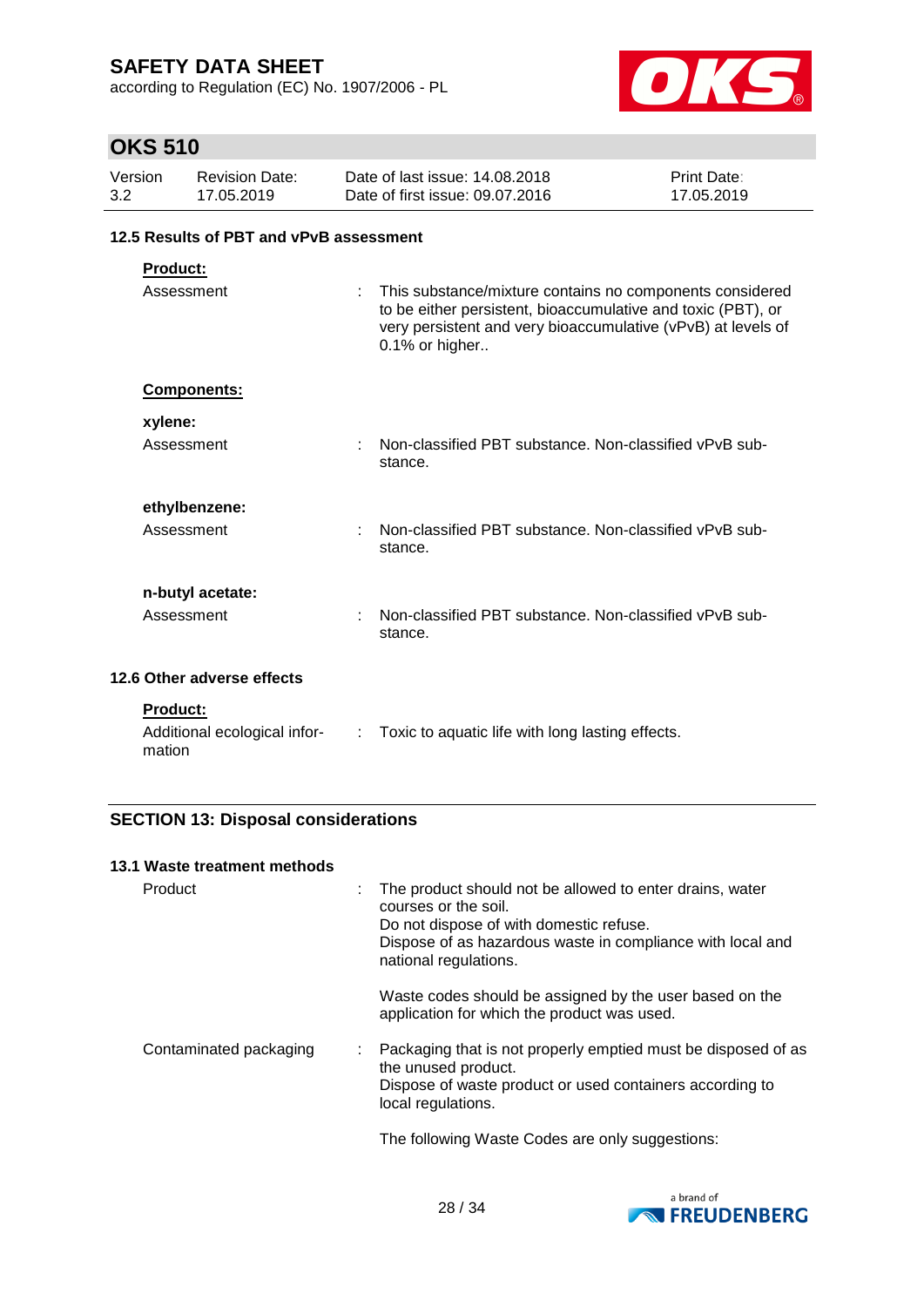according to Regulation (EC) No. 1907/2006 - PL



# **OKS 510**

| Version<br>3.2  | <b>Revision Date:</b><br>17.05.2019     | Date of last issue: 14,08,2018<br>Date of first issue: 09.07.2016 | Print Date:<br>17.05.2019                                                                                                                                                                |  |  |  |  |  |  |
|-----------------|-----------------------------------------|-------------------------------------------------------------------|------------------------------------------------------------------------------------------------------------------------------------------------------------------------------------------|--|--|--|--|--|--|
|                 | 12.5 Results of PBT and vPvB assessment |                                                                   |                                                                                                                                                                                          |  |  |  |  |  |  |
|                 | <b>Product:</b>                         |                                                                   |                                                                                                                                                                                          |  |  |  |  |  |  |
| Assessment      |                                         | 0.1% or higher                                                    | This substance/mixture contains no components considered<br>to be either persistent, bioaccumulative and toxic (PBT), or<br>very persistent and very bioaccumulative (vPvB) at levels of |  |  |  |  |  |  |
|                 | <b>Components:</b>                      |                                                                   |                                                                                                                                                                                          |  |  |  |  |  |  |
|                 | xylene:                                 |                                                                   |                                                                                                                                                                                          |  |  |  |  |  |  |
| Assessment      |                                         | stance.                                                           | Non-classified PBT substance. Non-classified vPvB sub-                                                                                                                                   |  |  |  |  |  |  |
|                 | ethylbenzene:                           |                                                                   |                                                                                                                                                                                          |  |  |  |  |  |  |
|                 | Assessment                              | stance.                                                           | Non-classified PBT substance. Non-classified vPvB sub-                                                                                                                                   |  |  |  |  |  |  |
|                 | n-butyl acetate:                        |                                                                   |                                                                                                                                                                                          |  |  |  |  |  |  |
|                 | Assessment                              | stance.                                                           | Non-classified PBT substance. Non-classified vPvB sub-                                                                                                                                   |  |  |  |  |  |  |
|                 | 12.6 Other adverse effects              |                                                                   |                                                                                                                                                                                          |  |  |  |  |  |  |
| <b>Product:</b> |                                         |                                                                   |                                                                                                                                                                                          |  |  |  |  |  |  |

# mation

Additional ecological infor- : Toxic to aquatic life with long lasting effects.

### **SECTION 13: Disposal considerations**

| 13.1 Waste treatment methods |                                                                                                                                                                                                                    |  |  |  |  |  |
|------------------------------|--------------------------------------------------------------------------------------------------------------------------------------------------------------------------------------------------------------------|--|--|--|--|--|
| Product                      | The product should not be allowed to enter drains, water<br>courses or the soil.<br>Do not dispose of with domestic refuse.<br>Dispose of as hazardous waste in compliance with local and<br>national regulations. |  |  |  |  |  |
|                              | Waste codes should be assigned by the user based on the<br>application for which the product was used.                                                                                                             |  |  |  |  |  |
| Contaminated packaging       | : Packaging that is not properly emptied must be disposed of as<br>the unused product.<br>Dispose of waste product or used containers according to<br>local regulations.                                           |  |  |  |  |  |
|                              | The following Waste Codes are only suggestions:                                                                                                                                                                    |  |  |  |  |  |

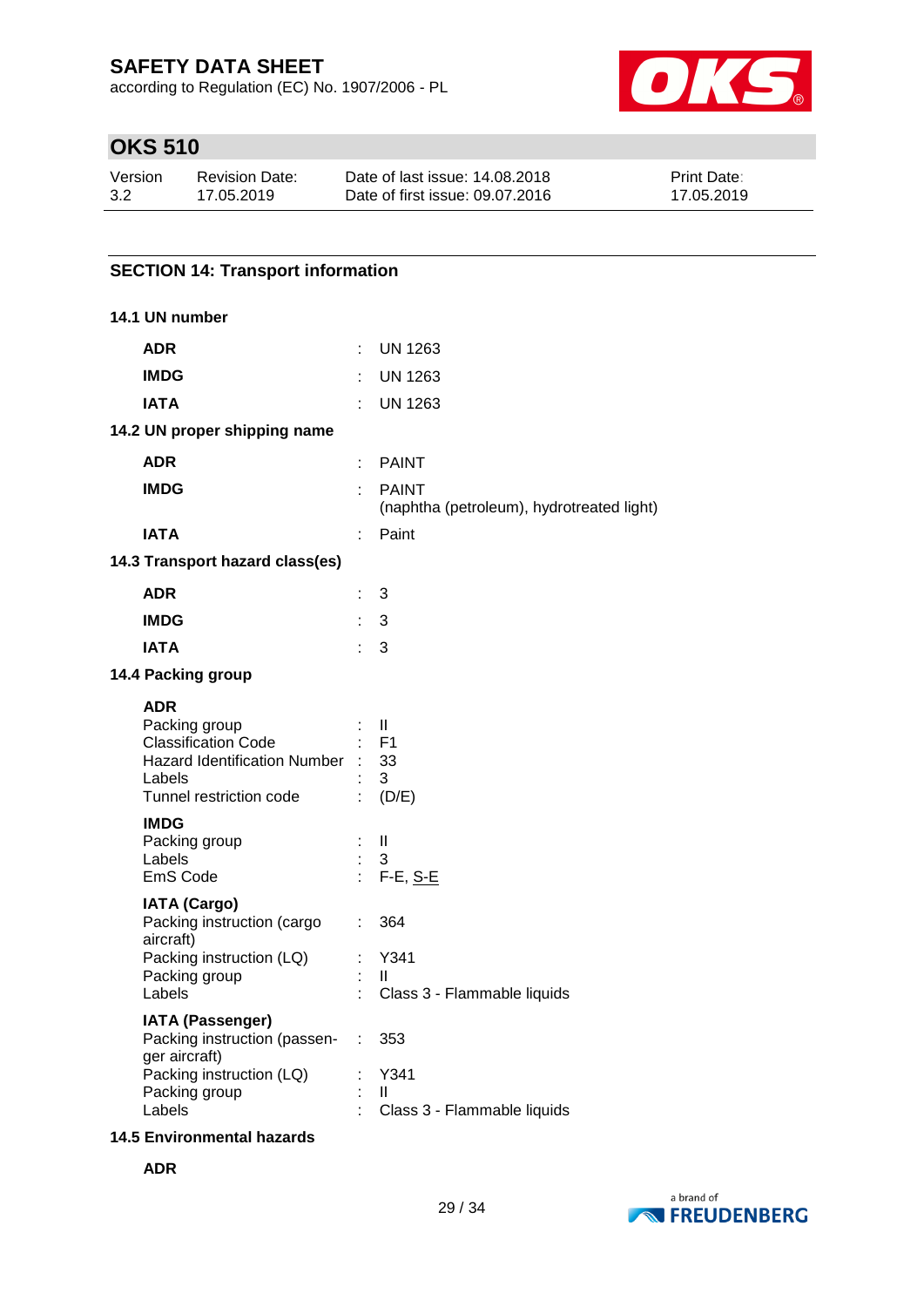according to Regulation (EC) No. 1907/2006 - PL



# **OKS 510**

| Version | Revision Date: | Date of last issue: 14.08.2018  | <b>Print Date:</b> |
|---------|----------------|---------------------------------|--------------------|
| 3.2     | 17.05.2019     | Date of first issue: 09.07.2016 | 17.05.2019         |

### **SECTION 14: Transport information**

| 14.1 UN number                                                                                                                        |          |                                                           |
|---------------------------------------------------------------------------------------------------------------------------------------|----------|-----------------------------------------------------------|
| <b>ADR</b>                                                                                                                            | ÷        | <b>UN 1263</b>                                            |
| <b>IMDG</b>                                                                                                                           |          | <b>UN 1263</b>                                            |
| <b>IATA</b>                                                                                                                           | ٠        | <b>UN 1263</b>                                            |
| 14.2 UN proper shipping name                                                                                                          |          |                                                           |
| <b>ADR</b>                                                                                                                            | t.       | <b>PAINT</b>                                              |
| <b>IMDG</b>                                                                                                                           |          | <b>PAINT</b><br>(naphtha (petroleum), hydrotreated light) |
| <b>IATA</b>                                                                                                                           |          | Paint                                                     |
| 14.3 Transport hazard class(es)                                                                                                       |          |                                                           |
| <b>ADR</b>                                                                                                                            | t,       | 3                                                         |
| <b>IMDG</b>                                                                                                                           | ÷        | 3                                                         |
| <b>IATA</b>                                                                                                                           | ŧ.       | 3                                                         |
| 14.4 Packing group                                                                                                                    |          |                                                           |
| <b>ADR</b><br>Packing group<br><b>Classification Code</b><br><b>Hazard Identification Number</b><br>Labels<br>Tunnel restriction code |          | Ш<br>F <sub>1</sub><br>33<br>3<br>(D/E)                   |
| <b>IMDG</b><br>Packing group<br>Labels<br>EmS Code                                                                                    |          | Ш<br>3<br>F-E, S-E                                        |
| <b>IATA (Cargo)</b><br>Packing instruction (cargo<br>aircraft)<br>Packing instruction (LQ)<br>Packing group                           | ÷.<br>t  | 364<br>Y341<br>Ш                                          |
| Labels<br><b>IATA (Passenger)</b>                                                                                                     |          | Class 3 - Flammable liquids                               |
| Packing instruction (passen-<br>ger aircraft)<br>Packing instruction (LQ)<br>Packing group<br>Labels                                  | t.<br>t, | 353<br>Y341<br>Ш<br>Class 3 - Flammable liquids           |

#### **14.5 Environmental hazards**

**ADR**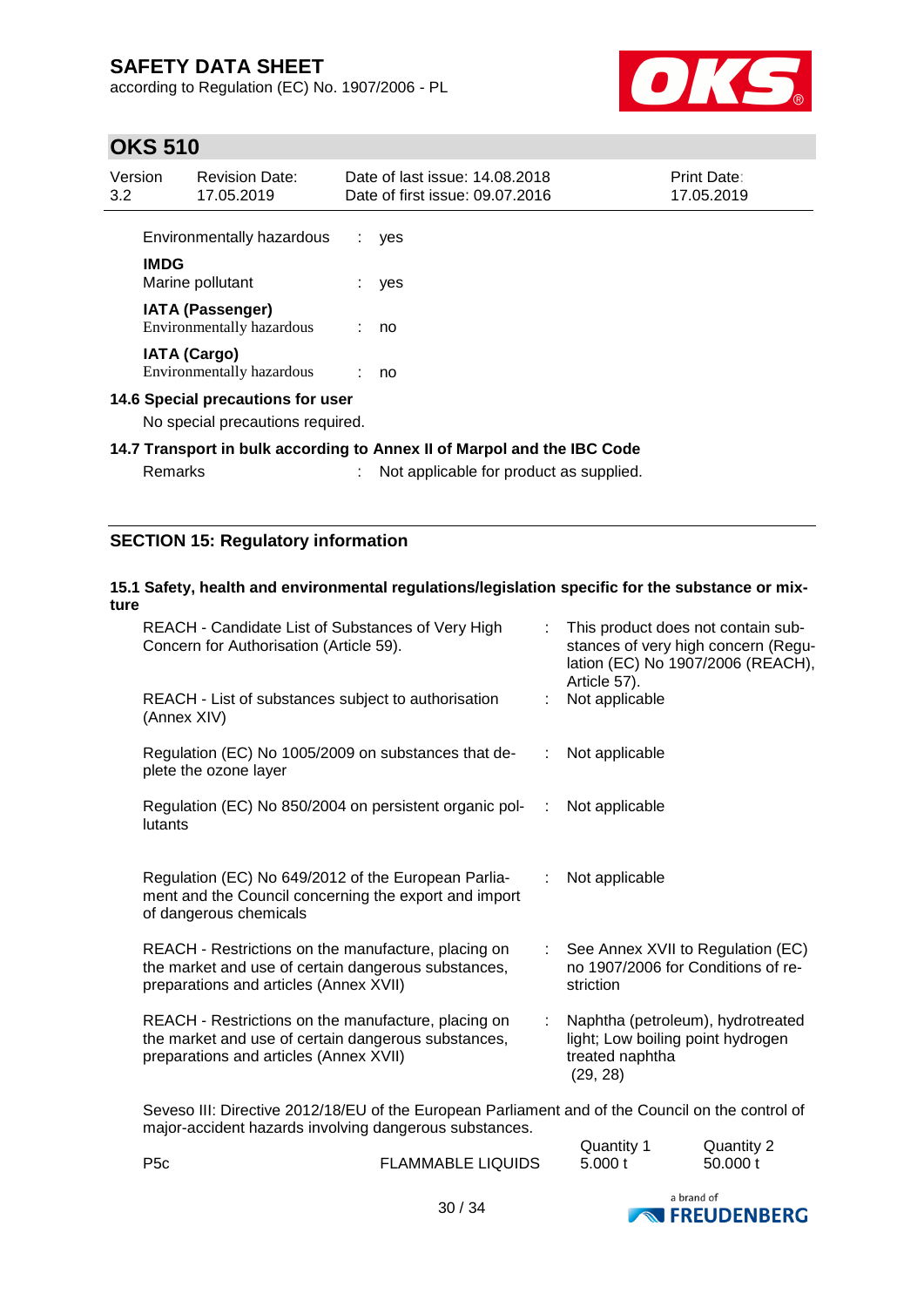according to Regulation (EC) No. 1907/2006 - PL



### **OKS 510**

| Version<br>3.2                    |                     | <b>Revision Date:</b><br>17.05.2019                  |     | Date of last issue: 14,08,2018<br>Date of first issue: 09.07.2016 | <b>Print Date:</b><br>17.05.2019 |
|-----------------------------------|---------------------|------------------------------------------------------|-----|-------------------------------------------------------------------|----------------------------------|
|                                   |                     | Environmentally hazardous                            | ÷.  | yes                                                               |                                  |
|                                   | <b>IMDG</b>         | Marine pollutant                                     | ÷.  | yes                                                               |                                  |
|                                   |                     | <b>IATA (Passenger)</b><br>Environmentally hazardous | t i | no                                                                |                                  |
|                                   | <b>IATA (Cargo)</b> | Environmentally hazardous                            |     | : no                                                              |                                  |
| 14.6 Special precautions for user |                     |                                                      |     |                                                                   |                                  |
| No special precautions required.  |                     |                                                      |     |                                                                   |                                  |
|                                   |                     |                                                      |     |                                                                   |                                  |

### **14.7 Transport in bulk according to Annex II of Marpol and the IBC Code**

| Remarks |  | Not applicable for product as supplied. |
|---------|--|-----------------------------------------|
|---------|--|-----------------------------------------|

### **SECTION 15: Regulatory information**

#### **15.1 Safety, health and environmental regulations/legislation specific for the substance or mixture** REACH - Candidate List of Substances of Very High Concern for Authorisation (Article 59). : This product does not contain substances of very high concern (Regulation (EC) No 1907/2006 (REACH), Article 57). REACH - List of substances subject to authorisation (Annex XIV) : Not applicable Regulation (EC) No 1005/2009 on substances that deplete the ozone layer : Not applicable Regulation (EC) No 850/2004 on persistent organic pollutants : Not applicable Regulation (EC) No 649/2012 of the European Parliament and the Council concerning the export and import of dangerous chemicals : Not applicable REACH - Restrictions on the manufacture, placing on the market and use of certain dangerous substances, preparations and articles (Annex XVII) : See Annex XVII to Regulation (EC) no 1907/2006 for Conditions of restriction REACH - Restrictions on the manufacture, placing on the market and use of certain dangerous substances, preparations and articles (Annex XVII) : Naphtha (petroleum), hydrotreated light; Low boiling point hydrogen treated naphtha (29, 28)

Seveso III: Directive 2012/18/EU of the European Parliament and of the Council on the control of major-accident hazards involving dangerous substances. Quantity 1 Quantity 2

|                  |                          | $x$ uunny | $x^{\alpha}$ |
|------------------|--------------------------|-----------|--------------|
| P <sub>5</sub> c | <b>FLAMMABLE LIQUIDS</b> | 5.000 t   | 50.000 t     |
|                  |                          |           |              |
|                  |                          |           |              |
|                  |                          |           | .            |

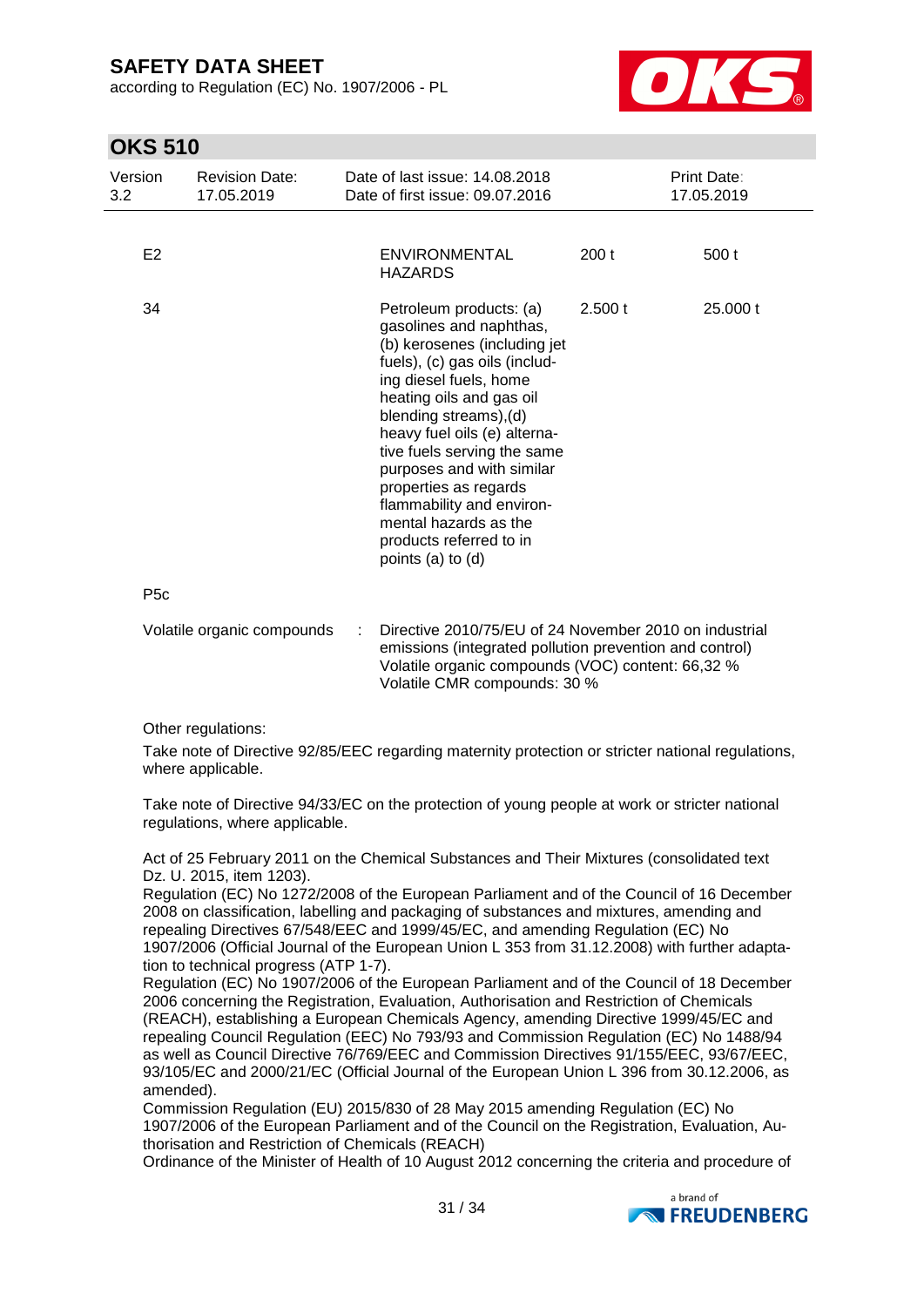according to Regulation (EC) No. 1907/2006 - PL



# **OKS 510**

| UNJ JIU          |                                         |   |                                                                                                                                                                                                                                                                                                                                                                                                                                |                  |                           |
|------------------|-----------------------------------------|---|--------------------------------------------------------------------------------------------------------------------------------------------------------------------------------------------------------------------------------------------------------------------------------------------------------------------------------------------------------------------------------------------------------------------------------|------------------|---------------------------|
| Version<br>3.2   | <b>Revision Date:</b><br>17.05.2019     |   | Date of last issue: 14,08,2018<br>Date of first issue: 09.07.2016                                                                                                                                                                                                                                                                                                                                                              |                  | Print Date:<br>17.05.2019 |
| E <sub>2</sub>   |                                         |   | <b>ENVIRONMENTAL</b><br><b>HAZARDS</b>                                                                                                                                                                                                                                                                                                                                                                                         | 200 <sub>t</sub> | 500 t                     |
| 34               |                                         |   | Petroleum products: (a)<br>gasolines and naphthas,<br>(b) kerosenes (including jet<br>fuels), (c) gas oils (includ-<br>ing diesel fuels, home<br>heating oils and gas oil<br>blending streams), (d)<br>heavy fuel oils (e) alterna-<br>tive fuels serving the same<br>purposes and with similar<br>properties as regards<br>flammability and environ-<br>mental hazards as the<br>products referred to in<br>points (a) to (d) | 2.500 t          | 25,000 t                  |
| P <sub>5</sub> c |                                         |   |                                                                                                                                                                                                                                                                                                                                                                                                                                |                  |                           |
|                  | Volatile organic compounds              | ÷ | Directive 2010/75/EU of 24 November 2010 on industrial<br>emissions (integrated pollution prevention and control)<br>Volatile organic compounds (VOC) content: 66,32 %<br>Volatile CMR compounds: 30 %                                                                                                                                                                                                                         |                  |                           |
|                  | Other regulations:<br>where applicable. |   | Take note of Directive 92/85/EEC regarding maternity protection or stricter national regulations,                                                                                                                                                                                                                                                                                                                              |                  |                           |
|                  | regulations, where applicable.          |   | Take note of Directive 94/33/EC on the protection of young people at work or stricter national                                                                                                                                                                                                                                                                                                                                 |                  |                           |

Act of 25 February 2011 on the Chemical Substances and Their Mixtures (consolidated text Dz. U. 2015, item 1203).

Regulation (EC) No 1272/2008 of the European Parliament and of the Council of 16 December 2008 on classification, labelling and packaging of substances and mixtures, amending and repealing Directives 67/548/EEC and 1999/45/EC, and amending Regulation (EC) No 1907/2006 (Official Journal of the European Union L 353 from 31.12.2008) with further adaptation to technical progress (ATP 1-7).

Regulation (EC) No 1907/2006 of the European Parliament and of the Council of 18 December 2006 concerning the Registration, Evaluation, Authorisation and Restriction of Chemicals (REACH), establishing a European Chemicals Agency, amending Directive 1999/45/EC and repealing Council Regulation (EEC) No 793/93 and Commission Regulation (EC) No 1488/94 as well as Council Directive 76/769/EEC and Commission Directives 91/155/EEC, 93/67/EEC, 93/105/EC and 2000/21/EC (Official Journal of the European Union L 396 from 30.12.2006, as amended).

Commission Regulation (EU) 2015/830 of 28 May 2015 amending Regulation (EC) No 1907/2006 of the European Parliament and of the Council on the Registration, Evaluation, Authorisation and Restriction of Chemicals (REACH)

Ordinance of the Minister of Health of 10 August 2012 concerning the criteria and procedure of

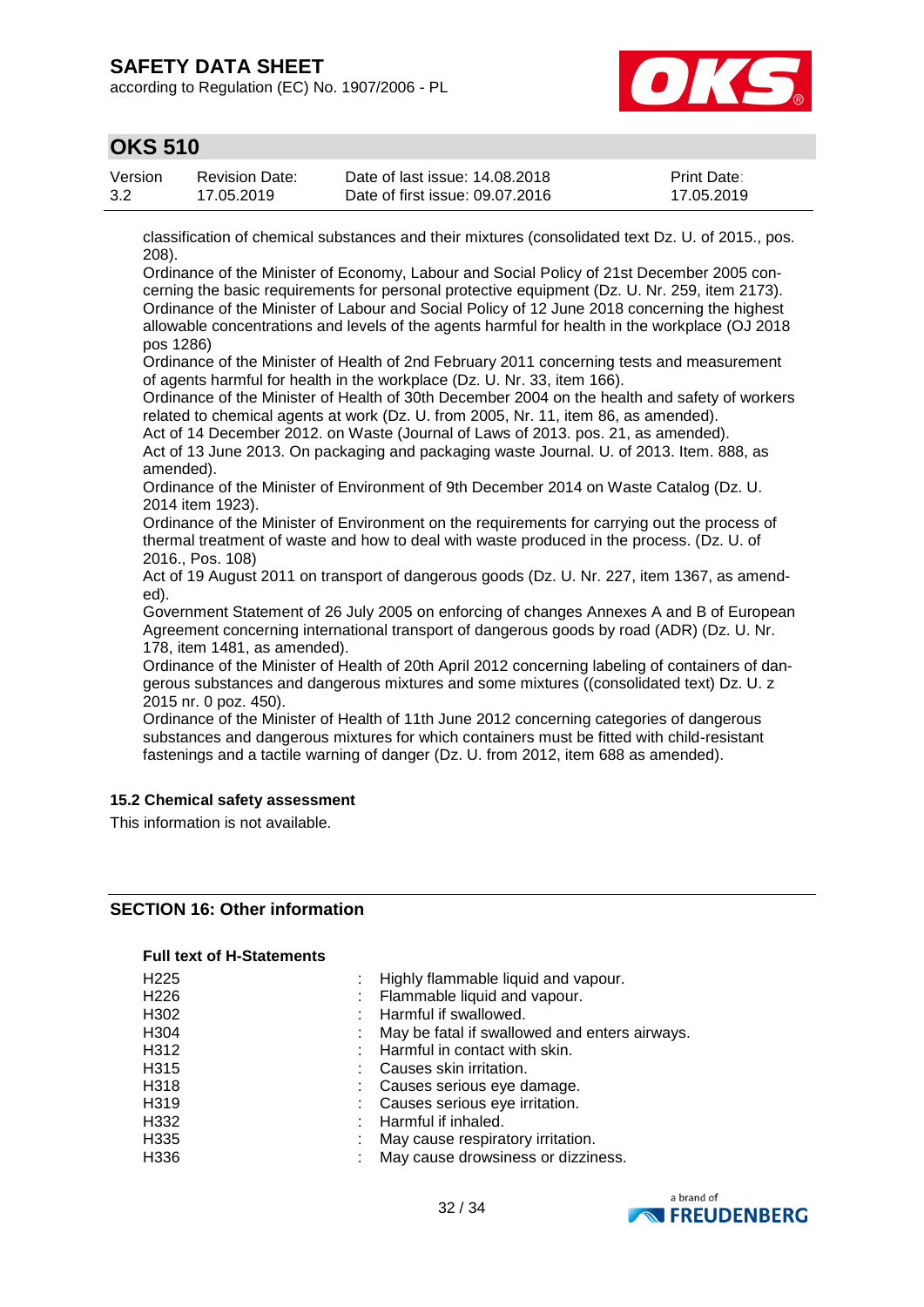according to Regulation (EC) No. 1907/2006 - PL



### **OKS 510**

| Version | Revision Date: | Date of last issue: 14,08,2018  | <b>Print Date:</b> |
|---------|----------------|---------------------------------|--------------------|
| 3.2     | 17.05.2019     | Date of first issue: 09.07.2016 | 17.05.2019         |

classification of chemical substances and their mixtures (consolidated text Dz. U. of 2015., pos. 208).

Ordinance of the Minister of Economy, Labour and Social Policy of 21st December 2005 concerning the basic requirements for personal protective equipment (Dz. U. Nr. 259, item 2173). Ordinance of the Minister of Labour and Social Policy of 12 June 2018 concerning the highest allowable concentrations and levels of the agents harmful for health in the workplace (OJ 2018 pos 1286)

Ordinance of the Minister of Health of 2nd February 2011 concerning tests and measurement of agents harmful for health in the workplace (Dz. U. Nr. 33, item 166).

Ordinance of the Minister of Health of 30th December 2004 on the health and safety of workers related to chemical agents at work (Dz. U. from 2005, Nr. 11, item 86, as amended).

Act of 14 December 2012. on Waste (Journal of Laws of 2013. pos. 21, as amended). Act of 13 June 2013. On packaging and packaging waste Journal. U. of 2013. Item. 888, as

amended).

Ordinance of the Minister of Environment of 9th December 2014 on Waste Catalog (Dz. U. 2014 item 1923).

Ordinance of the Minister of Environment on the requirements for carrying out the process of thermal treatment of waste and how to deal with waste produced in the process. (Dz. U. of 2016., Pos. 108)

Act of 19 August 2011 on transport of dangerous goods (Dz. U. Nr. 227, item 1367, as amended).

Government Statement of 26 July 2005 on enforcing of changes Annexes A and B of European Agreement concerning international transport of dangerous goods by road (ADR) (Dz. U. Nr. 178, item 1481, as amended).

Ordinance of the Minister of Health of 20th April 2012 concerning labeling of containers of dangerous substances and dangerous mixtures and some mixtures ((consolidated text) Dz. U. z 2015 nr. 0 poz. 450).

Ordinance of the Minister of Health of 11th June 2012 concerning categories of dangerous substances and dangerous mixtures for which containers must be fitted with child-resistant fastenings and a tactile warning of danger (Dz. U. from 2012, item 688 as amended).

#### **15.2 Chemical safety assessment**

This information is not available.

### **SECTION 16: Other information**

#### **Full text of H-Statements**

| H <sub>225</sub> | Highly flammable liquid and vapour.           |
|------------------|-----------------------------------------------|
| H <sub>226</sub> | Flammable liquid and vapour.                  |
| H302             | Harmful if swallowed.                         |
| H <sub>304</sub> | May be fatal if swallowed and enters airways. |
| H312             | Harmful in contact with skin.                 |
| H315             | Causes skin irritation.                       |
| H318             | Causes serious eye damage.                    |
| H319             | Causes serious eye irritation.                |
| H332             | Harmful if inhaled.                           |
| H335             | May cause respiratory irritation.             |
| H336             | May cause drowsiness or dizziness.            |

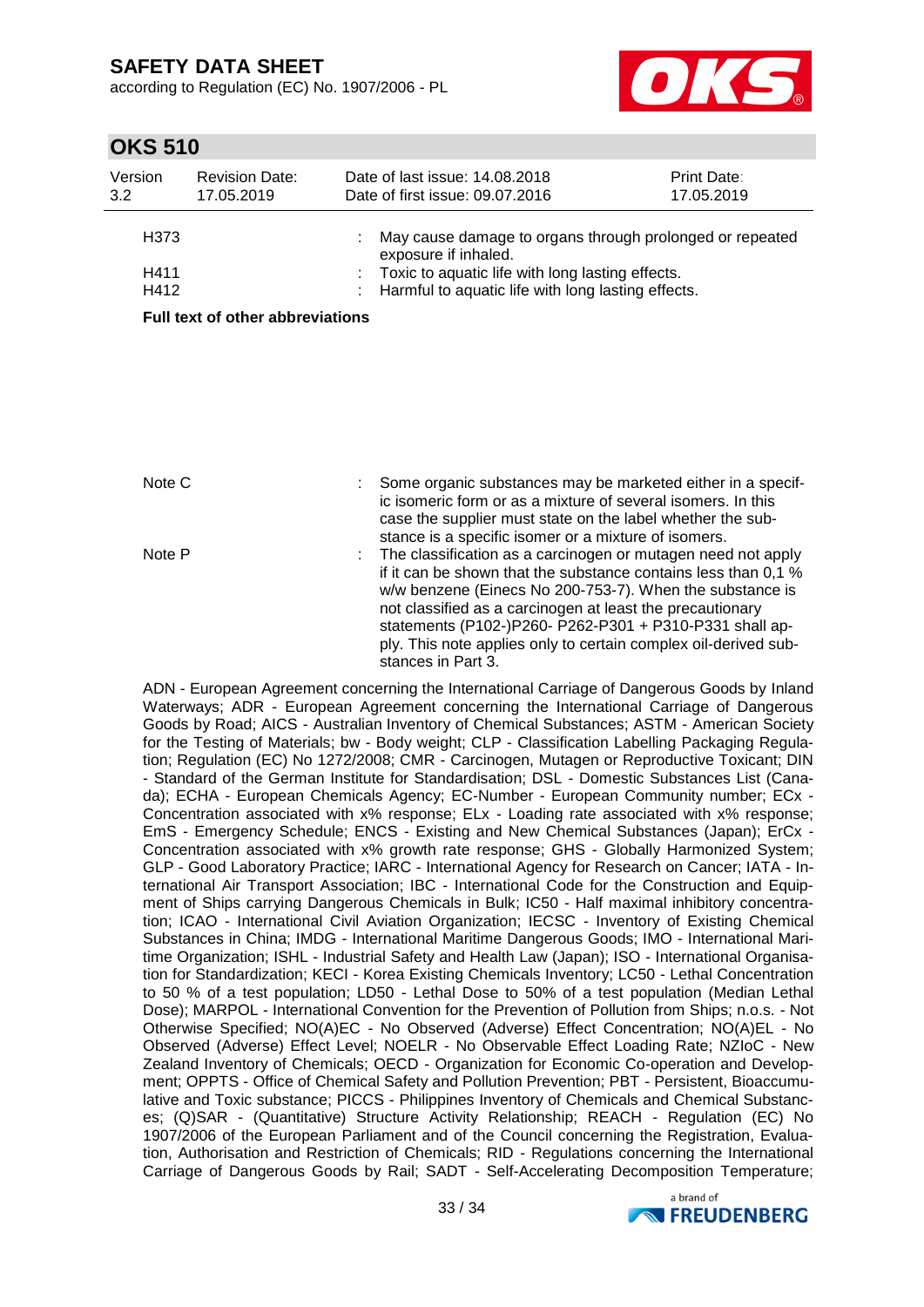according to Regulation (EC) No. 1907/2006 - PL



### **OKS 510**

| Version<br><b>Revision Date:</b><br>3.2<br>17.05.2019 |           | Date of last issue: 14.08.2018<br>Date of first issue: 09.07.2016                                          | <b>Print Date:</b><br>17.05.2019 |
|-------------------------------------------------------|-----------|------------------------------------------------------------------------------------------------------------|----------------------------------|
| H373                                                  |           | May cause damage to organs through prolonged or repeated<br>exposure if inhaled.                           |                                  |
| H411<br>H412                                          |           | : Toxic to aquatic life with long lasting effects.<br>: Harmful to aquatic life with long lasting effects. |                                  |
|                                                       | _ … … … … |                                                                                                            |                                  |

#### **Full text of other abbreviations**

Note C : Some organic substances may be marketed either in a specific isomeric form or as a mixture of several isomers. In this case the supplier must state on the label whether the substance is a specific isomer or a mixture of isomers. Note P : The classification as a carcinogen or mutagen need not apply if it can be shown that the substance contains less than 0,1 % w/w benzene (Einecs No 200-753-7). When the substance is not classified as a carcinogen at least the precautionary statements (P102-)P260- P262-P301 + P310-P331 shall apply. This note applies only to certain complex oil-derived substances in Part 3.

ADN - European Agreement concerning the International Carriage of Dangerous Goods by Inland Waterways; ADR - European Agreement concerning the International Carriage of Dangerous Goods by Road; AICS - Australian Inventory of Chemical Substances; ASTM - American Society for the Testing of Materials; bw - Body weight; CLP - Classification Labelling Packaging Regulation; Regulation (EC) No 1272/2008; CMR - Carcinogen, Mutagen or Reproductive Toxicant; DIN - Standard of the German Institute for Standardisation; DSL - Domestic Substances List (Canada); ECHA - European Chemicals Agency; EC-Number - European Community number; ECx - Concentration associated with x% response; ELx - Loading rate associated with x% response; EmS - Emergency Schedule; ENCS - Existing and New Chemical Substances (Japan); ErCx - Concentration associated with x% growth rate response; GHS - Globally Harmonized System; GLP - Good Laboratory Practice; IARC - International Agency for Research on Cancer; IATA - International Air Transport Association; IBC - International Code for the Construction and Equipment of Ships carrying Dangerous Chemicals in Bulk; IC50 - Half maximal inhibitory concentration; ICAO - International Civil Aviation Organization; IECSC - Inventory of Existing Chemical Substances in China; IMDG - International Maritime Dangerous Goods; IMO - International Maritime Organization; ISHL - Industrial Safety and Health Law (Japan); ISO - International Organisation for Standardization; KECI - Korea Existing Chemicals Inventory; LC50 - Lethal Concentration to 50 % of a test population; LD50 - Lethal Dose to 50% of a test population (Median Lethal Dose); MARPOL - International Convention for the Prevention of Pollution from Ships; n.o.s. - Not Otherwise Specified; NO(A)EC - No Observed (Adverse) Effect Concentration; NO(A)EL - No Observed (Adverse) Effect Level; NOELR - No Observable Effect Loading Rate; NZIoC - New Zealand Inventory of Chemicals; OECD - Organization for Economic Co-operation and Development; OPPTS - Office of Chemical Safety and Pollution Prevention; PBT - Persistent, Bioaccumulative and Toxic substance; PICCS - Philippines Inventory of Chemicals and Chemical Substances; (Q)SAR - (Quantitative) Structure Activity Relationship; REACH - Regulation (EC) No 1907/2006 of the European Parliament and of the Council concerning the Registration, Evaluation, Authorisation and Restriction of Chemicals; RID - Regulations concerning the International Carriage of Dangerous Goods by Rail; SADT - Self-Accelerating Decomposition Temperature;